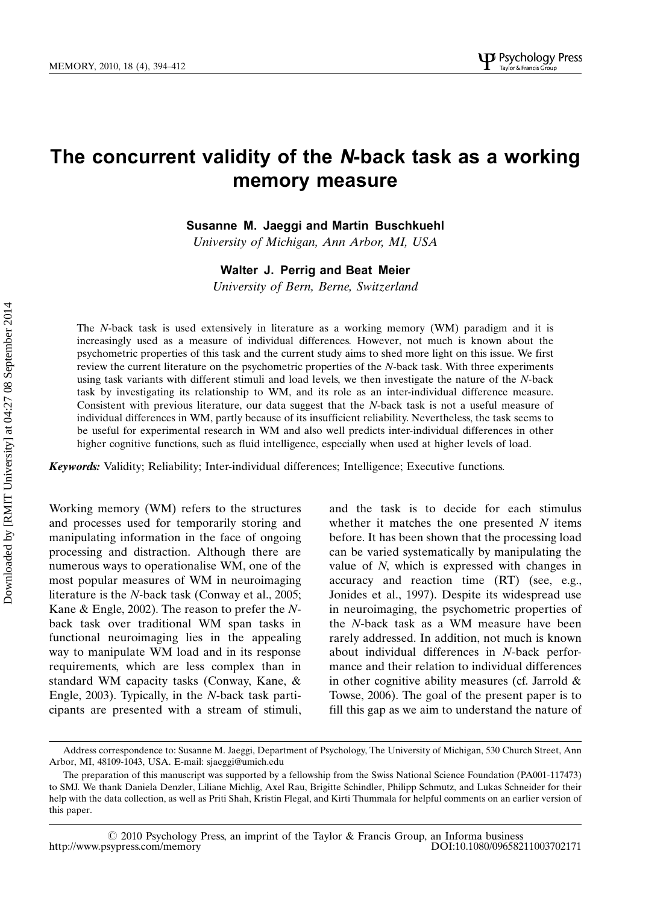# The concurrent validity of the N-back task as a working memory measure

Susanne M. Jaeggi and Martin Buschkuehl

University of Michigan, Ann Arbor, MI, USA

Walter J. Perrig and Beat Meier

University of Bern, Berne, Switzerland

The N-back task is used extensively in literature as a working memory (WM) paradigm and it is increasingly used as a measure of individual differences. However, not much is known about the psychometric properties of this task and the current study aims to shed more light on this issue. We first review the current literature on the psychometric properties of the N-back task. With three experiments using task variants with different stimuli and load levels, we then investigate the nature of the N-back task by investigating its relationship to WM, and its role as an inter-individual difference measure. Consistent with previous literature, our data suggest that the N-back task is not a useful measure of individual differences in WM, partly because of its insufficient reliability. Nevertheless, the task seems to be useful for experimental research in WM and also well predicts inter-individual differences in other higher cognitive functions, such as fluid intelligence, especially when used at higher levels of load.

Keywords: Validity; Reliability; Inter-individual differences; Intelligence; Executive functions.

Working memory (WM) refers to the structures and processes used for temporarily storing and manipulating information in the face of ongoing processing and distraction. Although there are numerous ways to operationalise WM, one of the most popular measures of WM in neuroimaging literature is the N-back task (Conway et al., 2005; Kane & Engle, 2002). The reason to prefer the Nback task over traditional WM span tasks in functional neuroimaging lies in the appealing way to manipulate WM load and in its response requirements, which are less complex than in standard WM capacity tasks (Conway, Kane, & Engle, 2003). Typically, in the N-back task participants are presented with a stream of stimuli, and the task is to decide for each stimulus whether it matches the one presented  $N$  items before. It has been shown that the processing load can be varied systematically by manipulating the value of N, which is expressed with changes in accuracy and reaction time (RT) (see, e.g., Jonides et al., 1997). Despite its widespread use in neuroimaging, the psychometric properties of the N-back task as a WM measure have been rarely addressed. In addition, not much is known about individual differences in N-back performance and their relation to individual differences in other cognitive ability measures (cf. Jarrold  $\&$ Towse, 2006). The goal of the present paper is to fill this gap as we aim to understand the nature of

Address correspondence to: Susanne M. Jaeggi, Department of Psychology, The University of Michigan, 530 Church Street, Ann Arbor, MI, 48109-1043, USA. E-mail: sjaeggi@umich.edu

The preparation of this manuscript was supported by a fellowship from the Swiss National Science Foundation (PA001-117473) to SMJ. We thank Daniela Denzler, Liliane Michlig, Axel Rau, Brigitte Schindler, Philipp Schmutz, and Lukas Schneider for their help with the data collection, as well as Priti Shah, Kristin Flegal, and Kirti Thummala for helpful comments on an earlier version of this paper.

 $\degree$  2010 Psychology Press, an imprint of the Taylor & Francis Group, an Informa business sypress.com/memory DOI:10.1080/09658211003702171 http://www.psypress.com/memory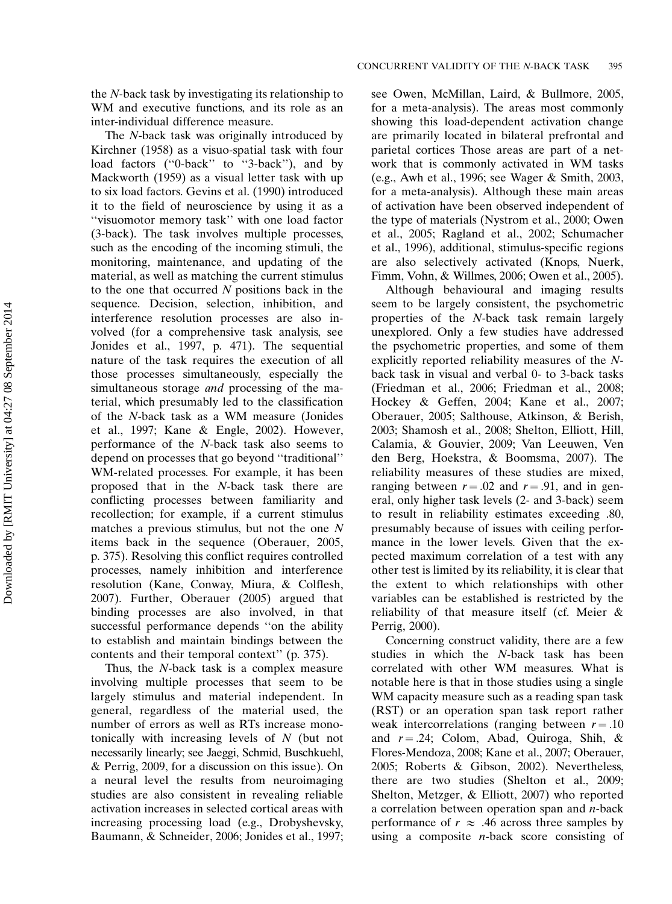the N-back task by investigating its relationship to WM and executive functions, and its role as an inter-individual difference measure.

The N-back task was originally introduced by Kirchner (1958) as a visuo-spatial task with four load factors (''0-back'' to ''3-back''), and by Mackworth (1959) as a visual letter task with up to six load factors. Gevins et al. (1990) introduced it to the field of neuroscience by using it as a ''visuomotor memory task'' with one load factor (3-back). The task involves multiple processes, such as the encoding of the incoming stimuli, the monitoring, maintenance, and updating of the material, as well as matching the current stimulus to the one that occurred N positions back in the sequence. Decision, selection, inhibition, and interference resolution processes are also involved (for a comprehensive task analysis, see Jonides et al., 1997, p. 471). The sequential nature of the task requires the execution of all those processes simultaneously, especially the simultaneous storage *and* processing of the material, which presumably led to the classification of the N-back task as a WM measure (Jonides et al., 1997; Kane & Engle, 2002). However, performance of the N-back task also seems to depend on processes that go beyond ''traditional'' WM-related processes. For example, it has been proposed that in the N-back task there are conflicting processes between familiarity and recollection; for example, if a current stimulus matches a previous stimulus, but not the one N items back in the sequence (Oberauer, 2005, p. 375). Resolving this conflict requires controlled processes, namely inhibition and interference resolution (Kane, Conway, Miura, & Colflesh, 2007). Further, Oberauer (2005) argued that binding processes are also involved, in that successful performance depends ''on the ability to establish and maintain bindings between the contents and their temporal context'' (p. 375).

Thus, the N-back task is a complex measure involving multiple processes that seem to be largely stimulus and material independent. In general, regardless of the material used, the number of errors as well as RTs increase monotonically with increasing levels of N (but not necessarily linearly; see Jaeggi, Schmid, Buschkuehl, & Perrig, 2009, for a discussion on this issue). On a neural level the results from neuroimaging studies are also consistent in revealing reliable activation increases in selected cortical areas with increasing processing load (e.g., Drobyshevsky, Baumann, & Schneider, 2006; Jonides et al., 1997; see Owen, McMillan, Laird, & Bullmore, 2005, for a meta-analysis). The areas most commonly showing this load-dependent activation change are primarily located in bilateral prefrontal and parietal cortices Those areas are part of a network that is commonly activated in WM tasks (e.g., Awh et al., 1996; see Wager & Smith, 2003, for a meta-analysis). Although these main areas of activation have been observed independent of the type of materials (Nystrom et al., 2000; Owen et al., 2005; Ragland et al., 2002; Schumacher et al., 1996), additional, stimulus-specific regions are also selectively activated (Knops, Nuerk, Fimm, Vohn, & Willmes, 2006; Owen et al., 2005).

Although behavioural and imaging results seem to be largely consistent, the psychometric properties of the N-back task remain largely unexplored. Only a few studies have addressed the psychometric properties, and some of them explicitly reported reliability measures of the Nback task in visual and verbal 0- to 3-back tasks (Friedman et al., 2006; Friedman et al., 2008; Hockey & Geffen, 2004; Kane et al., 2007; Oberauer, 2005; Salthouse, Atkinson, & Berish, 2003; Shamosh et al., 2008; Shelton, Elliott, Hill, Calamia, & Gouvier, 2009; Van Leeuwen, Ven den Berg, Hoekstra, & Boomsma, 2007). The reliability measures of these studies are mixed, ranging between  $r = .02$  and  $r = .91$ , and in general, only higher task levels (2- and 3-back) seem to result in reliability estimates exceeding .80, presumably because of issues with ceiling performance in the lower levels. Given that the expected maximum correlation of a test with any other test is limited by its reliability, it is clear that the extent to which relationships with other variables can be established is restricted by the reliability of that measure itself (cf. Meier & Perrig, 2000).

Concerning construct validity, there are a few studies in which the N-back task has been correlated with other WM measures. What is notable here is that in those studies using a single WM capacity measure such as a reading span task (RST) or an operation span task report rather weak intercorrelations (ranging between  $r = .10$ and  $r = .24$ ; Colom, Abad, Quiroga, Shih, & Flores-Mendoza, 2008; Kane et al., 2007; Oberauer, 2005; Roberts & Gibson, 2002). Nevertheless, there are two studies (Shelton et al., 2009; Shelton, Metzger, & Elliott, 2007) who reported a correlation between operation span and  $n$ -back performance of  $r \approx .46$  across three samples by using a composite *n*-back score consisting of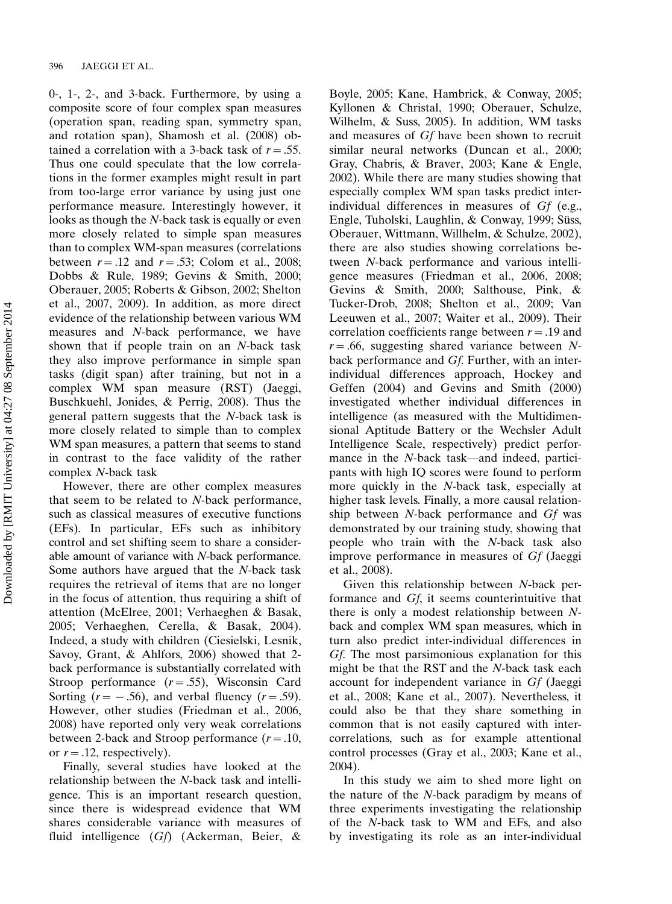0-, 1-, 2-, and 3-back. Furthermore, by using a composite score of four complex span measures (operation span, reading span, symmetry span, and rotation span), Shamosh et al. (2008) obtained a correlation with a 3-back task of  $r = .55$ . Thus one could speculate that the low correlations in the former examples might result in part from too-large error variance by using just one performance measure. Interestingly however, it looks as though the N-back task is equally or even more closely related to simple span measures than to complex WM-span measures (correlations between  $r = .12$  and  $r = .53$ ; Colom et al., 2008; Dobbs & Rule, 1989; Gevins & Smith, 2000; Oberauer, 2005; Roberts & Gibson, 2002; Shelton et al., 2007, 2009). In addition, as more direct evidence of the relationship between various WM measures and N-back performance, we have shown that if people train on an N-back task they also improve performance in simple span tasks (digit span) after training, but not in a complex WM span measure (RST) (Jaeggi, Buschkuehl, Jonides, & Perrig, 2008). Thus the general pattern suggests that the N-back task is more closely related to simple than to complex WM span measures, a pattern that seems to stand in contrast to the face validity of the rather complex N-back task

However, there are other complex measures that seem to be related to N-back performance, such as classical measures of executive functions (EFs). In particular, EFs such as inhibitory control and set shifting seem to share a considerable amount of variance with N-back performance. Some authors have argued that the N-back task requires the retrieval of items that are no longer in the focus of attention, thus requiring a shift of attention (McElree, 2001; Verhaeghen & Basak, 2005; Verhaeghen, Cerella, & Basak, 2004). Indeed, a study with children (Ciesielski, Lesnik, Savoy, Grant, & Ahlfors, 2006) showed that 2 back performance is substantially correlated with Stroop performance  $(r=.55)$ , Wisconsin Card Sorting  $(r = -.56)$ , and verbal fluency  $(r = .59)$ . However, other studies (Friedman et al., 2006, 2008) have reported only very weak correlations between 2-back and Stroop performance  $(r = .10, )$ or  $r = .12$ , respectively).

Finally, several studies have looked at the relationship between the N-back task and intelligence. This is an important research question, since there is widespread evidence that WM shares considerable variance with measures of fluid intelligence (Gf) (Ackerman, Beier, &

Boyle, 2005; Kane, Hambrick, & Conway, 2005; Kyllonen & Christal, 1990; Oberauer, Schulze, Wilhelm, & Suss, 2005). In addition, WM tasks and measures of Gf have been shown to recruit similar neural networks (Duncan et al., 2000; Gray, Chabris, & Braver, 2003; Kane & Engle, 2002). While there are many studies showing that especially complex WM span tasks predict interindividual differences in measures of Gf (e.g., Engle, Tuholski, Laughlin, & Conway, 1999; Süss, Oberauer, Wittmann, Willhelm, & Schulze, 2002), there are also studies showing correlations between N-back performance and various intelligence measures (Friedman et al., 2006, 2008; Gevins & Smith, 2000; Salthouse, Pink, & Tucker-Drob, 2008; Shelton et al., 2009; Van Leeuwen et al., 2007; Waiter et al., 2009). Their correlation coefficients range between  $r = .19$  and  $r = .66$ , suggesting shared variance between Nback performance and Gf. Further, with an interindividual differences approach, Hockey and Geffen (2004) and Gevins and Smith (2000) investigated whether individual differences in intelligence (as measured with the Multidimensional Aptitude Battery or the Wechsler Adult Intelligence Scale, respectively) predict performance in the  $N$ -back task—and indeed, participants with high IQ scores were found to perform more quickly in the N-back task, especially at higher task levels. Finally, a more causal relationship between N-back performance and Gf was demonstrated by our training study, showing that people who train with the N-back task also improve performance in measures of Gf (Jaeggi et al., 2008).

Given this relationship between N-back performance and Gf, it seems counterintuitive that there is only a modest relationship between Nback and complex WM span measures, which in turn also predict inter-individual differences in Gf. The most parsimonious explanation for this might be that the RST and the N-back task each account for independent variance in Gf (Jaeggi et al., 2008; Kane et al., 2007). Nevertheless, it could also be that they share something in common that is not easily captured with intercorrelations, such as for example attentional control processes (Gray et al., 2003; Kane et al., 2004).

In this study we aim to shed more light on the nature of the N-back paradigm by means of three experiments investigating the relationship of the N-back task to WM and EFs, and also by investigating its role as an inter-individual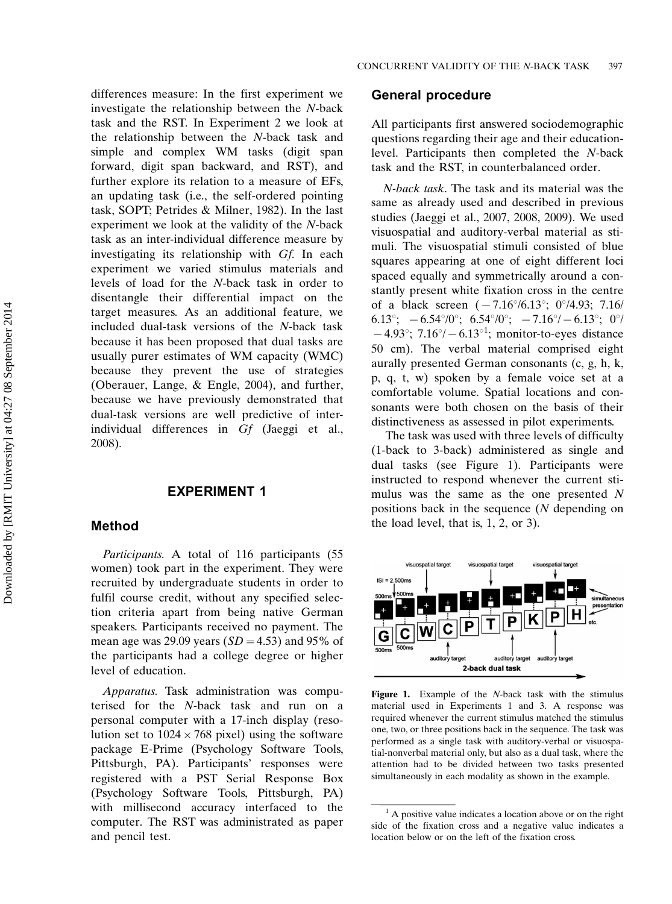differences measure: In the first experiment we investigate the relationship between the N-back task and the RST. In Experiment 2 we look at the relationship between the N-back task and simple and complex WM tasks (digit span forward, digit span backward, and RST), and further explore its relation to a measure of EFs, an updating task (i.e., the self-ordered pointing task, SOPT; Petrides & Milner, 1982). In the last experiment we look at the validity of the N-back task as an inter-individual difference measure by investigating its relationship with Gf. In each experiment we varied stimulus materials and levels of load for the N-back task in order to disentangle their differential impact on the target measures. As an additional feature, we included dual-task versions of the N-back task because it has been proposed that dual tasks are usually purer estimates of WM capacity (WMC) because they prevent the use of strategies (Oberauer, Lange, & Engle, 2004), and further, because we have previously demonstrated that dual-task versions are well predictive of interindividual differences in Gf (Jaeggi et al., 2008).

# EXPERIMENT 1

## Method

Participants. A total of 116 participants (55 women) took part in the experiment. They were recruited by undergraduate students in order to fulfil course credit, without any specified selection criteria apart from being native German speakers. Participants received no payment. The mean age was 29.09 years  $(SD = 4.53)$  and 95% of the participants had a college degree or higher level of education.

Apparatus. Task administration was computerised for the N-back task and run on a personal computer with a 17-inch display (resolution set to  $1024 \times 768$  pixel) using the software package E-Prime (Psychology Software Tools, Pittsburgh, PA). Participants' responses were registered with a PST Serial Response Box (Psychology Software Tools, Pittsburgh, PA) with millisecond accuracy interfaced to the computer. The RST was administrated as paper and pencil test.

#### General procedure

All participants first answered sociodemographic questions regarding their age and their educationlevel. Participants then completed the N-back task and the RST, in counterbalanced order.

N-back task. The task and its material was the same as already used and described in previous studies (Jaeggi et al., 2007, 2008, 2009). We used visuospatial and auditory-verbal material as stimuli. The visuospatial stimuli consisted of blue squares appearing at one of eight different loci spaced equally and symmetrically around a constantly present white fixation cross in the centre of a black screen  $(-7.16^{\circ}/6.13^{\circ}; 0^{\circ}/4.93; 7.16/$ 6.13°;  $-6.54\degree/0^\circ$ ; 6.54°/0°;  $-7.16\degree/0.13\degree$ ; 0°/  $-4.93^{\circ}$ ; 7.16 $\circ$ / $-6.13^{\circ1}$ ; monitor-to-eyes distance 50 cm). The verbal material comprised eight aurally presented German consonants (c, g, h, k, p, q, t, w) spoken by a female voice set at a comfortable volume. Spatial locations and consonants were both chosen on the basis of their distinctiveness as assessed in pilot experiments.

The task was used with three levels of difficulty (1-back to 3-back) administered as single and dual tasks (see Figure 1). Participants were instructed to respond whenever the current stimulus was the same as the one presented N positions back in the sequence (N depending on the load level, that is, 1, 2, or 3).



Figure 1. Example of the N-back task with the stimulus material used in Experiments 1 and 3. A response was required whenever the current stimulus matched the stimulus one, two, or three positions back in the sequence. The task was performed as a single task with auditory-verbal or visuospatial-nonverbal material only, but also as a dual task, where the attention had to be divided between two tasks presented simultaneously in each modality as shown in the example.

 $<sup>1</sup>$  A positive value indicates a location above or on the right</sup> side of the fixation cross and a negative value indicates a location below or on the left of the fixation cross.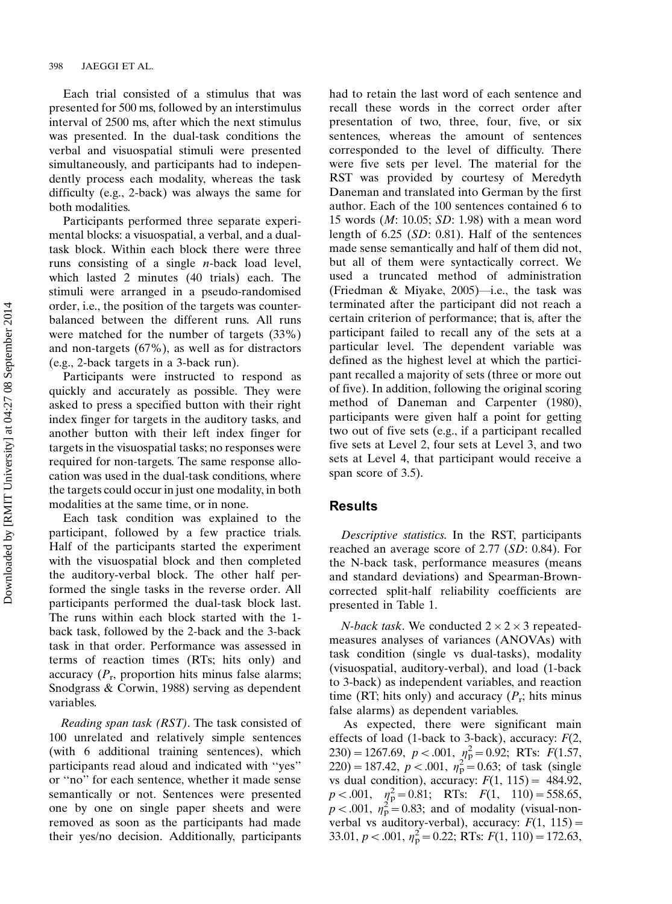Each trial consisted of a stimulus that was presented for 500 ms, followed by an interstimulus interval of 2500 ms, after which the next stimulus was presented. In the dual-task conditions the verbal and visuospatial stimuli were presented simultaneously, and participants had to independently process each modality, whereas the task difficulty (e.g., 2-back) was always the same for both modalities.

Participants performed three separate experimental blocks: a visuospatial, a verbal, and a dualtask block. Within each block there were three runs consisting of a single n-back load level, which lasted 2 minutes (40 trials) each. The stimuli were arranged in a pseudo-randomised order, i.e., the position of the targets was counterbalanced between the different runs. All runs were matched for the number of targets (33%) and non-targets (67%), as well as for distractors (e.g., 2-back targets in a 3-back run).

Participants were instructed to respond as quickly and accurately as possible. They were asked to press a specified button with their right index finger for targets in the auditory tasks, and another button with their left index finger for targets in the visuospatial tasks; no responses were required for non-targets. The same response allocation was used in the dual-task conditions, where the targets could occur in just one modality, in both modalities at the same time, or in none.

Each task condition was explained to the participant, followed by a few practice trials. Half of the participants started the experiment with the visuospatial block and then completed the auditory-verbal block. The other half performed the single tasks in the reverse order. All participants performed the dual-task block last. The runs within each block started with the 1 back task, followed by the 2-back and the 3-back task in that order. Performance was assessed in terms of reaction times (RTs; hits only) and accuracy  $(P_r$ , proportion hits minus false alarms; Snodgrass & Corwin, 1988) serving as dependent variables.

Reading span task (RST). The task consisted of 100 unrelated and relatively simple sentences (with 6 additional training sentences), which participants read aloud and indicated with ''yes'' or ''no'' for each sentence, whether it made sense semantically or not. Sentences were presented one by one on single paper sheets and were removed as soon as the participants had made their yes/no decision. Additionally, participants had to retain the last word of each sentence and recall these words in the correct order after presentation of two, three, four, five, or six sentences, whereas the amount of sentences corresponded to the level of difficulty. There were five sets per level. The material for the RST was provided by courtesy of Meredyth Daneman and translated into German by the first author. Each of the 100 sentences contained 6 to 15 words (M: 10.05; SD: 1.98) with a mean word length of 6.25 (SD: 0.81). Half of the sentences made sense semantically and half of them did not, but all of them were syntactically correct. We used a truncated method of administration (Friedman & Miyake, 2005)—i.e., the task was terminated after the participant did not reach a certain criterion of performance; that is, after the participant failed to recall any of the sets at a particular level. The dependent variable was defined as the highest level at which the participant recalled a majority of sets (three or more out of five). In addition, following the original scoring method of Daneman and Carpenter (1980), participants were given half a point for getting two out of five sets (e.g., if a participant recalled five sets at Level 2, four sets at Level 3, and two sets at Level 4, that participant would receive a span score of 3.5).

## Results

Descriptive statistics. In the RST, participants reached an average score of 2.77 (SD: 0.84). For the N-back task, performance measures (means and standard deviations) and Spearman-Browncorrected split-half reliability coefficients are presented in Table 1.

*N-back task.* We conducted  $2 \times 2 \times 3$  repeatedmeasures analyses of variances (ANOVAs) with task condition (single vs dual-tasks), modality (visuospatial, auditory-verbal), and load (1-back to 3-back) as independent variables, and reaction time (RT; hits only) and accuracy  $(P_r;$  hits minus false alarms) as dependent variables.

As expected, there were significant main effects of load (1-back to 3-back), accuracy:  $F(2, 1)$ 230) = 1267.69,  $p < .001$ ,  $n_P^2 = 0.92$ ; RTs:  $F(1.57,$  $(220) = 187.42, p < .001, \eta_p^2 = 0.63$ ; of task (single vs dual condition), accuracy:  $F(1, 115) = 484.92$ ,  $p < .001$ ,  $\eta_{\rm p}^2 = 0.81$ ; RTs:  $F(1, 110) = 558.65$ ,  $p < .001$ ,  $\eta_p^2 = 0.83$ ; and of modality (visual-nonverbal vs auditory-verbal), accuracy:  $F(1, 115) =$ 33.01,  $p < .001$ ,  $\eta_p^2 = 0.22$ ; RTs:  $F(1, 110) = 172.63$ ,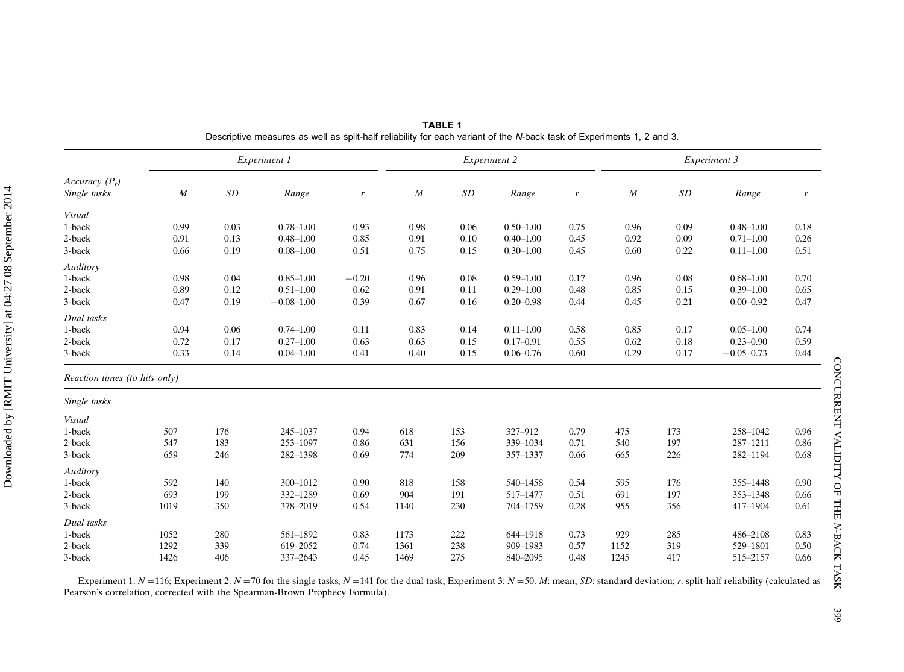|                               |                  |                    | Experiment 1   |                  |                  | Experiment 2 |               |                  | Experiment 3     |      |                |      |  |  |  |
|-------------------------------|------------------|--------------------|----------------|------------------|------------------|--------------|---------------|------------------|------------------|------|----------------|------|--|--|--|
| Accuracy $(P_r)$              |                  |                    |                |                  |                  |              |               |                  |                  |      |                |      |  |  |  |
| Single tasks                  | $\boldsymbol{M}$ | $\cal SD$<br>Range |                | $\boldsymbol{r}$ | $\boldsymbol{M}$ | SD           | Range         | $\boldsymbol{r}$ | $\boldsymbol{M}$ | SD   | Range          | r    |  |  |  |
| Visual                        |                  |                    |                |                  |                  |              |               |                  |                  |      |                |      |  |  |  |
| 1-back                        | 0.99             | 0.03               | $0.78 - 1.00$  | 0.93             | 0.98             | 0.06         | $0.50 - 1.00$ | 0.75             | 0.96             | 0.09 | $0.48 - 1.00$  | 0.18 |  |  |  |
| 2-back                        | 0.91             | 0.13               | $0.48 - 1.00$  | 0.85             | 0.91             | 0.10         | $0.40 - 1.00$ | 0.45             | 0.92             | 0.09 | $0.71 - 1.00$  | 0.26 |  |  |  |
| 3-back                        | 0.66             | 0.19               | $0.08 - 1.00$  | 0.51             | 0.75             | 0.15         | $0.30 - 1.00$ | 0.45             | 0.60             | 0.22 | $0.11 - 1.00$  | 0.51 |  |  |  |
| Auditory                      |                  |                    |                |                  |                  |              |               |                  |                  |      |                |      |  |  |  |
| 1-back                        | 0.98             | 0.04               | $0.85 - 1.00$  | $-0.20$          | 0.96             | 0.08         | $0.59 - 1.00$ | 0.17             | 0.96             | 0.08 | $0.68 - 1.00$  | 0.70 |  |  |  |
| 2-back                        | 0.89             | 0.12               | $0.51 - 1.00$  | 0.62             | 0.91             | 0.11         | $0.29 - 1.00$ | 0.48             | 0.85             | 0.15 | $0.39 - 1.00$  | 0.65 |  |  |  |
| 3-back                        | 0.47             | 0.19               | $-0.08 - 1.00$ | 0.39             | 0.67             | 0.16         | $0.20 - 0.98$ | 0.44             | 0.45             | 0.21 | $0.00 - 0.92$  | 0.47 |  |  |  |
| Dual tasks                    |                  |                    |                |                  |                  |              |               |                  |                  |      |                |      |  |  |  |
| 1-back                        | 0.94             | 0.06               | $0.74 - 1.00$  | 0.11             | 0.83             | 0.14         | $0.11 - 1.00$ | 0.58             | 0.85             | 0.17 | $0.05 - 1.00$  | 0.74 |  |  |  |
| 2-back                        | 0.72             | 0.17               | $0.27 - 1.00$  | 0.63             | 0.63             | 0.15         | $0.17 - 0.91$ | 0.55             | 0.62             | 0.18 | $0.23 - 0.90$  | 0.59 |  |  |  |
| 3-back                        | 0.33             | 0.14               | $0.04 - 1.00$  | 0.41             | 0.40             | 0.15         | $0.06 - 0.76$ | 0.60             | 0.29             | 0.17 | $-0.05 - 0.73$ | 0.44 |  |  |  |
| Reaction times (to hits only) |                  |                    |                |                  |                  |              |               |                  |                  |      |                |      |  |  |  |
| Single tasks                  |                  |                    |                |                  |                  |              |               |                  |                  |      |                |      |  |  |  |
| Visual                        |                  |                    |                |                  |                  |              |               |                  |                  |      |                |      |  |  |  |
| 1-back                        | 507              | 176                | 245-1037       | 0.94             | 618              | 153          | 327-912       | 0.79             | 475              | 173  | 258-1042       | 0.96 |  |  |  |
| 2-back                        | 547              | 183                | 253-1097       | 0.86             | 631              | 156          | 339-1034      | 0.71             | 540              | 197  | 287-1211       | 0.86 |  |  |  |
| 3-back                        | 659              | 246                | 282-1398       | 0.69             | 774              | 209          | 357-1337      | 0.66             | 665              | 226  | 282-1194       | 0.68 |  |  |  |
| Auditory                      |                  |                    |                |                  |                  |              |               |                  |                  |      |                |      |  |  |  |
| 1-back                        | 592              | 140                | 300-1012       | 0.90             | 818              | 158          | 540-1458      | 0.54             | 595              | 176  | 355-1448       | 0.90 |  |  |  |
| 2-back                        | 693              | 199                | 332-1289       | 0.69             | 904              | 191          | 517-1477      | 0.51             | 691              | 197  | 353-1348       | 0.66 |  |  |  |
| 3-back                        | 1019             | 350                | 378-2019       | 0.54             | 1140             | 230          | 704-1759      | 0.28             | 955              | 356  | 417-1904       | 0.61 |  |  |  |
| Dual tasks                    |                  |                    |                |                  |                  |              |               |                  |                  |      |                |      |  |  |  |
| 1-back                        | 1052             | 280                | 561-1892       | 0.83             | 1173             | 222          | 644-1918      | 0.73             | 929              | 285  | 486-2108       | 0.83 |  |  |  |
| 2-back                        | 1292             | 339                | 619-2052       | 0.74             | 1361             | 238          | 909-1983      | 0.57             | 1152             | 319  | 529-1801       | 0.50 |  |  |  |
| 3-back                        | 1426             | 406                | 337-2643       | 0.45             | 1469             | 275          | 840-2095      | 0.48             | 1245             | 417  | 515-2157       | 0.66 |  |  |  |

TABLE 1 Descriptive measures as well as split-half reliability for each variant of the N-back task of Experiments 1, 2 and 3.

Experiment 1:  $N=116$ ; Experiment 2:  $N=70$  for the single tasks,  $N=141$  for the dual task; Experiment 3:  $N=50$ . M: mean; SD: standard deviation; r: split-half reliability (calculated as Pearson's correlation, corrected with the Spearman-Brown Prophecy Formula).

CONCURRENT VALIDITY OF THE

CONCURRENT VALIDITY OF THE N-BACK TASK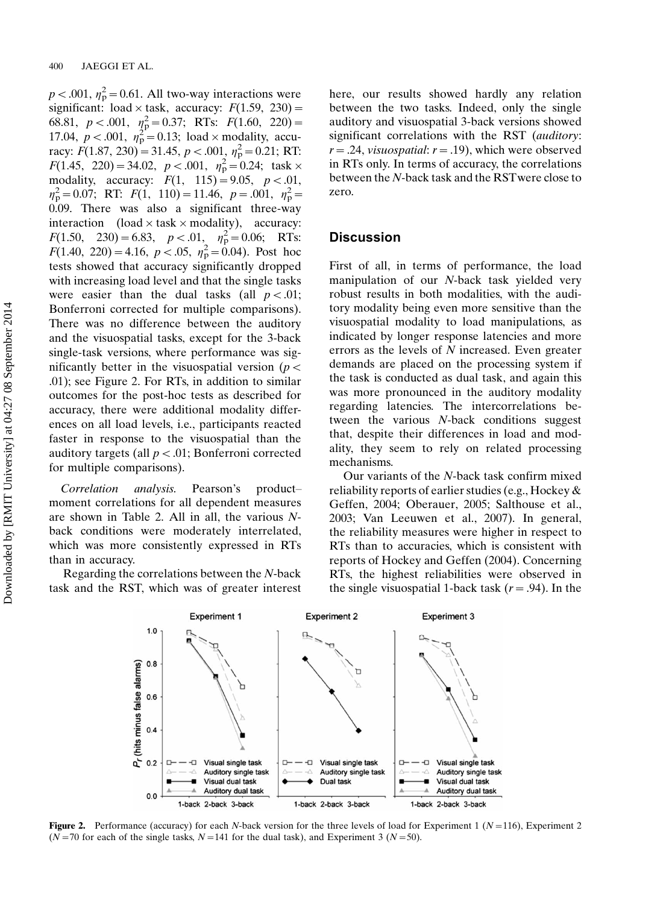$p < .001$ ,  $\eta_p^2 = 0.61$ . All two-way interactions were significant: load  $\times$  task, accuracy:  $F(1.59, 230) =$ 68.81,  $p < .001$ ,  $\eta_{\rm p}^2 = 0.37$ ; RTs:  $F(1.60, 220) =$ 17.04,  $p < .001$ ,  $\eta_p^2 = 0.13$ ; load  $\times$  modality, accuracy:  $F(1.87, 230) = 31.45, p < .001, \eta_p^2 = 0.21$ ; RT:  $F(1.45, 220) = 34.02, p < .001, \eta_p^2 = 0.24$ ; task × modality, accuracy:  $F(1, 115) = 9.05, p < .01$ ,  $\eta_p^2 = 0.07$ ; RT:  $F(1, 110) = 11.46$ ,  $p = .001$ ,  $\eta_p^2 =$ 0.09. There was also a significant three-way interaction (load  $\times$  task  $\times$  modality), accuracy:  $F(1.50, 230) = 6.83, p < .01, \eta_p^2 = 0.06; \text{RTs:}$  $F(1.40, 220) = 4.16, p < .05, \eta_p^2 = 0.04$ . Post hoc tests showed that accuracy significantly dropped with increasing load level and that the single tasks were easier than the dual tasks (all  $p < .01$ ; Bonferroni corrected for multiple comparisons). There was no difference between the auditory and the visuospatial tasks, except for the 3-back single-task versions, where performance was significantly better in the visuospatial version ( $p <$ .01); see Figure 2. For RTs, in addition to similar outcomes for the post-hoc tests as described for accuracy, there were additional modality differences on all load levels, i.e., participants reacted faster in response to the visuospatial than the auditory targets (all  $p < .01$ ; Bonferroni corrected for multiple comparisons).

Correlation analysis. Pearson's product moment correlations for all dependent measures are shown in Table 2. All in all, the various Nback conditions were moderately interrelated, which was more consistently expressed in RTs than in accuracy.

Regarding the correlations between the N-back task and the RST, which was of greater interest here, our results showed hardly any relation between the two tasks. Indeed, only the single auditory and visuospatial 3-back versions showed significant correlations with the RST (auditory:  $r = .24$ , *visuospatial*:  $r = .19$ ), which were observed in RTs only. In terms of accuracy, the correlations between the N-back task and the RSTwere close to zero.

# **Discussion**

First of all, in terms of performance, the load manipulation of our N-back task yielded very robust results in both modalities, with the auditory modality being even more sensitive than the visuospatial modality to load manipulations, as indicated by longer response latencies and more errors as the levels of N increased. Even greater demands are placed on the processing system if the task is conducted as dual task, and again this was more pronounced in the auditory modality regarding latencies. The intercorrelations between the various N-back conditions suggest that, despite their differences in load and modality, they seem to rely on related processing mechanisms.

Our variants of the N-back task confirm mixed reliability reports of earlier studies (e.g., Hockey & Geffen, 2004; Oberauer, 2005; Salthouse et al., 2003; Van Leeuwen et al., 2007). In general, the reliability measures were higher in respect to RTs than to accuracies, which is consistent with reports of Hockey and Geffen (2004). Concerning RTs, the highest reliabilities were observed in the single visuospatial 1-back task  $(r = .94)$ . In the



**Figure 2.** Performance (accuracy) for each N-back version for the three levels of load for Experiment 1 ( $N=116$ ), Experiment 2 ( $N=70$  for each of the single tasks,  $N=141$  for the dual task), and Experiment 3 ( $N=50$ ).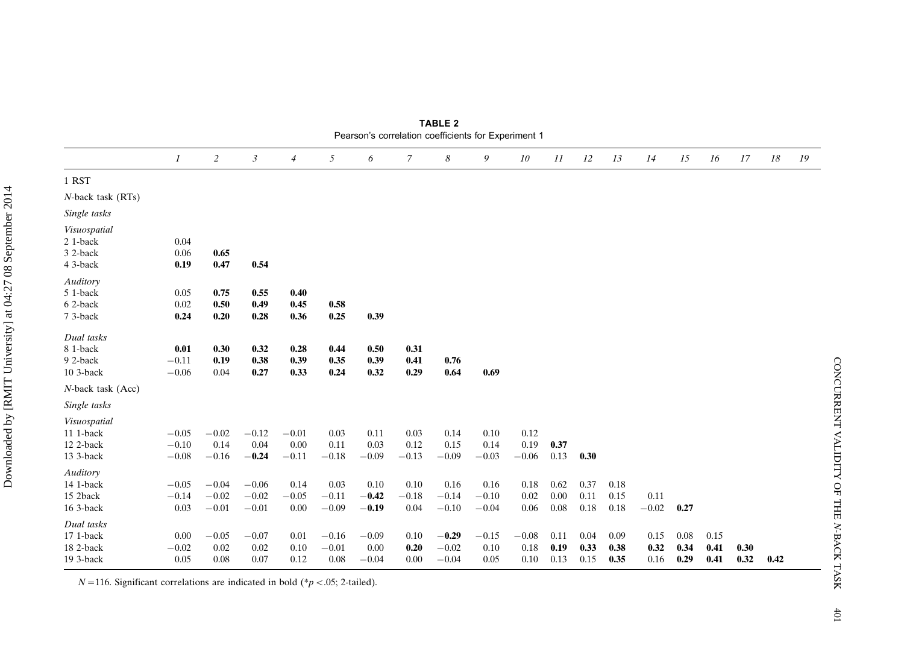| <b>Fearson's correlation coemcients for Experiment T</b> |                           |                |         |                |           |         |                |         |         |           |      |      |      |         |      |      |      |      |    |
|----------------------------------------------------------|---------------------------|----------------|---------|----------------|-----------|---------|----------------|---------|---------|-----------|------|------|------|---------|------|------|------|------|----|
|                                                          | $\boldsymbol{\mathit{1}}$ | $\overline{c}$ | 3       | $\overline{4}$ | 5         | 6       | $\overline{7}$ | 8       | 9       | 10        | 11   | 12   | 13   | 14      | 15   | 16   | 17   | 18   | 19 |
| 1 RST                                                    |                           |                |         |                |           |         |                |         |         |           |      |      |      |         |      |      |      |      |    |
| N-back task (RTs)                                        |                           |                |         |                |           |         |                |         |         |           |      |      |      |         |      |      |      |      |    |
| Single tasks                                             |                           |                |         |                |           |         |                |         |         |           |      |      |      |         |      |      |      |      |    |
| Visuospatial                                             |                           |                |         |                |           |         |                |         |         |           |      |      |      |         |      |      |      |      |    |
| 2 1-back                                                 | 0.04                      |                |         |                |           |         |                |         |         |           |      |      |      |         |      |      |      |      |    |
| 3 2-back                                                 | 0.06                      | 0.65           |         |                |           |         |                |         |         |           |      |      |      |         |      |      |      |      |    |
| 4 3-back                                                 | 0.19                      | 0.47           | 0.54    |                |           |         |                |         |         |           |      |      |      |         |      |      |      |      |    |
| Auditory                                                 |                           |                |         |                |           |         |                |         |         |           |      |      |      |         |      |      |      |      |    |
| 5 1-back                                                 | 0.05                      | 0.75           | 0.55    | 0.40           |           |         |                |         |         |           |      |      |      |         |      |      |      |      |    |
| 6 2-back                                                 | 0.02                      | 0.50           | 0.49    | 0.45           | 0.58      |         |                |         |         |           |      |      |      |         |      |      |      |      |    |
| 7 3-back                                                 | 0.24                      | 0.20           | 0.28    | 0.36           | 0.25      | 0.39    |                |         |         |           |      |      |      |         |      |      |      |      |    |
| Dual tasks                                               |                           |                |         |                |           |         |                |         |         |           |      |      |      |         |      |      |      |      |    |
| 8 1-back                                                 | 0.01                      | 0.30           | 0.32    | 0.28           | 0.44      | 0.50    | 0.31           |         |         |           |      |      |      |         |      |      |      |      |    |
| 92-back                                                  | $-0.11$                   | 0.19           | 0.38    | 0.39           | 0.35      | 0.39    | 0.41           | 0.76    |         |           |      |      |      |         |      |      |      |      |    |
| 10 3-back                                                | $-0.06$                   | 0.04           | 0.27    | 0.33           | 0.24      | 0.32    | 0.29           | 0.64    | 0.69    |           |      |      |      |         |      |      |      |      |    |
| N-back task (Acc)                                        |                           |                |         |                |           |         |                |         |         |           |      |      |      |         |      |      |      |      |    |
| Single tasks                                             |                           |                |         |                |           |         |                |         |         |           |      |      |      |         |      |      |      |      |    |
| Visuospatial                                             |                           |                |         |                |           |         |                |         |         |           |      |      |      |         |      |      |      |      |    |
| 11 1-back                                                | $-0.05$                   | $-0.02$        | $-0.12$ | $-0.01$        | 0.03      | 0.11    | 0.03           | 0.14    | 0.10    | 0.12      |      |      |      |         |      |      |      |      |    |
| 12 2-back                                                | $-0.10$                   | 0.14           | 0.04    | 0.00           | 0.11      | 0.03    | 0.12           | 0.15    | 0.14    | 0.19      | 0.37 |      |      |         |      |      |      |      |    |
| 13 3-back                                                | $\!-0.08$                 | $-0.16$        | $-0.24$ | $-0.11$        | $\!-0.18$ | $-0.09$ | $-0.13$        | $-0.09$ | $-0.03$ | $-0.06$   | 0.13 | 0.30 |      |         |      |      |      |      |    |
| Auditory                                                 |                           |                |         |                |           |         |                |         |         |           |      |      |      |         |      |      |      |      |    |
| 14 1-back                                                | $-0.05$                   | $-0.04$        | $-0.06$ | 0.14           | 0.03      | 0.10    | 0.10           | 0.16    | 0.16    | 0.18      | 0.62 | 0.37 | 0.18 |         |      |      |      |      |    |
| 15 2back                                                 | $-0.14$                   | $-0.02$        | $-0.02$ | $-0.05$        | $-0.11$   | $-0.42$ | $-0.18$        | $-0.14$ | $-0.10$ | 0.02      | 0.00 | 0.11 | 0.15 | 0.11    |      |      |      |      |    |
| 16 3-back                                                | 0.03                      | $-0.01$        | $-0.01$ | 0.00           | $-0.09$   | $-0.19$ | 0.04           | $-0.10$ | $-0.04$ | 0.06      | 0.08 | 0.18 | 0.18 | $-0.02$ | 0.27 |      |      |      |    |
| Dual tasks                                               |                           |                |         |                |           |         |                |         |         |           |      |      |      |         |      |      |      |      |    |
| 17 1-back                                                | 0.00                      | $-0.05$        | $-0.07$ | 0.01           | $-0.16$   | $-0.09$ | 0.10           | $-0.29$ | $-0.15$ | $\!-0.08$ | 0.11 | 0.04 | 0.09 | 0.15    | 0.08 | 0.15 |      |      |    |
| 18 2-back                                                | $-0.02$                   | 0.02           | 0.02    | 0.10           | $-0.01$   | 0.00    | 0.20           | $-0.02$ | 0.10    | 0.18      | 0.19 | 0.33 | 0.38 | 0.32    | 0.34 | 0.41 | 0.30 |      |    |
| 19 3-back                                                | 0.05                      | 0.08           | 0.07    | 0.12           | 0.08      | $-0.04$ | 0.00           | $-0.04$ | 0.05    | 0.10      | 0.13 | 0.15 | 0.35 | 0.16    | 0.29 | 0.41 | 0.32 | 0.42 |    |

TABLE 2 Pearson's correlation coefficients for Experiment 1

 $N=116$ . Significant correlations are indicated in bold (\*p <.05; 2-tailed).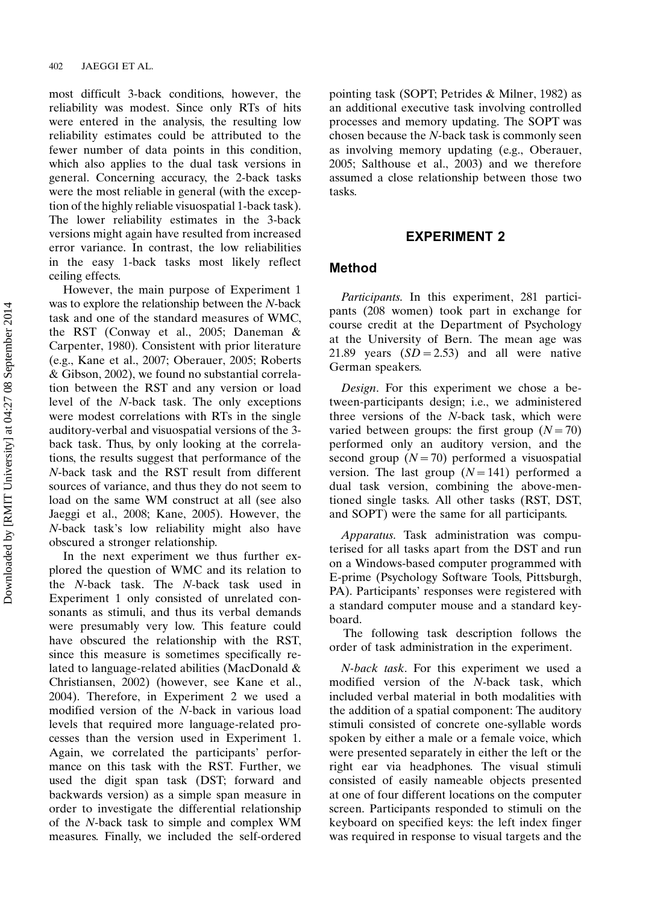most difficult 3-back conditions, however, the reliability was modest. Since only RTs of hits were entered in the analysis, the resulting low reliability estimates could be attributed to the fewer number of data points in this condition, which also applies to the dual task versions in general. Concerning accuracy, the 2-back tasks were the most reliable in general (with the exception of the highly reliable visuospatial 1-back task). The lower reliability estimates in the 3-back versions might again have resulted from increased error variance. In contrast, the low reliabilities in the easy 1-back tasks most likely reflect ceiling effects.

However, the main purpose of Experiment 1 was to explore the relationship between the N-back task and one of the standard measures of WMC, the RST (Conway et al., 2005; Daneman & Carpenter, 1980). Consistent with prior literature (e.g., Kane et al., 2007; Oberauer, 2005; Roberts & Gibson, 2002), we found no substantial correlation between the RST and any version or load level of the N-back task. The only exceptions were modest correlations with RTs in the single auditory-verbal and visuospatial versions of the 3 back task. Thus, by only looking at the correlations, the results suggest that performance of the N-back task and the RST result from different sources of variance, and thus they do not seem to load on the same WM construct at all (see also Jaeggi et al., 2008; Kane, 2005). However, the N-back task's low reliability might also have obscured a stronger relationship.

In the next experiment we thus further explored the question of WMC and its relation to the N-back task. The N-back task used in Experiment 1 only consisted of unrelated consonants as stimuli, and thus its verbal demands were presumably very low. This feature could have obscured the relationship with the RST, since this measure is sometimes specifically related to language-related abilities (MacDonald & Christiansen, 2002) (however, see Kane et al., 2004). Therefore, in Experiment 2 we used a modified version of the N-back in various load levels that required more language-related processes than the version used in Experiment 1. Again, we correlated the participants' performance on this task with the RST. Further, we used the digit span task (DST; forward and backwards version) as a simple span measure in order to investigate the differential relationship of the N-back task to simple and complex WM measures. Finally, we included the self-ordered pointing task (SOPT; Petrides & Milner, 1982) as an additional executive task involving controlled processes and memory updating. The SOPT was chosen because the N-back task is commonly seen as involving memory updating (e.g., Oberauer, 2005; Salthouse et al., 2003) and we therefore assumed a close relationship between those two tasks.

## EXPERIMENT 2

## Method

Participants. In this experiment, 281 participants (208 women) took part in exchange for course credit at the Department of Psychology at the University of Bern. The mean age was 21.89 years  $(SD = 2.53)$  and all were native German speakers.

Design. For this experiment we chose a between-participants design; i.e., we administered three versions of the N-back task, which were varied between groups: the first group  $(N=70)$ performed only an auditory version, and the second group  $(N=70)$  performed a visuospatial version. The last group  $(N=141)$  performed a dual task version, combining the above-mentioned single tasks. All other tasks (RST, DST, and SOPT) were the same for all participants.

Apparatus. Task administration was computerised for all tasks apart from the DST and run on a Windows-based computer programmed with E-prime (Psychology Software Tools, Pittsburgh, PA). Participants' responses were registered with a standard computer mouse and a standard keyboard.

The following task description follows the order of task administration in the experiment.

N-back task. For this experiment we used a modified version of the N-back task, which included verbal material in both modalities with the addition of a spatial component: The auditory stimuli consisted of concrete one-syllable words spoken by either a male or a female voice, which were presented separately in either the left or the right ear via headphones. The visual stimuli consisted of easily nameable objects presented at one of four different locations on the computer screen. Participants responded to stimuli on the keyboard on specified keys: the left index finger was required in response to visual targets and the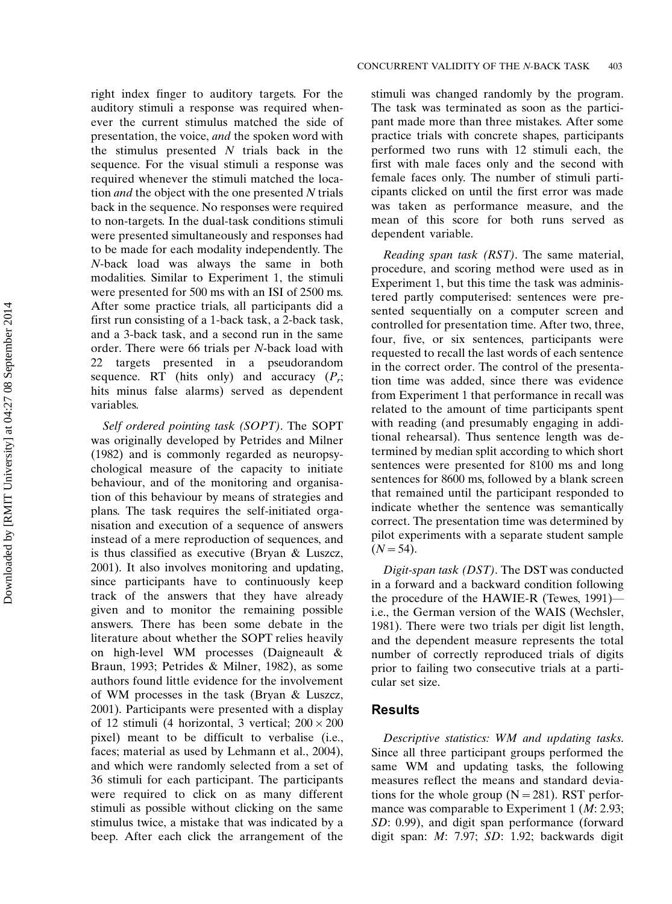right index finger to auditory targets. For the auditory stimuli a response was required whenever the current stimulus matched the side of presentation, the voice, and the spoken word with the stimulus presented  $N$  trials back in the sequence. For the visual stimuli a response was required whenever the stimuli matched the location *and* the object with the one presented N trials back in the sequence. No responses were required to non-targets. In the dual-task conditions stimuli were presented simultaneously and responses had to be made for each modality independently. The N-back load was always the same in both modalities. Similar to Experiment 1, the stimuli were presented for 500 ms with an ISI of 2500 ms. After some practice trials, all participants did a first run consisting of a 1-back task, a 2-back task, and a 3-back task, and a second run in the same order. There were 66 trials per N-back load with 22 targets presented in a pseudorandom sequence. RT (hits only) and accuracy  $(P_r;$ hits minus false alarms) served as dependent variables.

Self ordered pointing task (SOPT). The SOPT was originally developed by Petrides and Milner (1982) and is commonly regarded as neuropsychological measure of the capacity to initiate behaviour, and of the monitoring and organisation of this behaviour by means of strategies and plans. The task requires the self-initiated organisation and execution of a sequence of answers instead of a mere reproduction of sequences, and is thus classified as executive (Bryan & Luszcz, 2001). It also involves monitoring and updating, since participants have to continuously keep track of the answers that they have already given and to monitor the remaining possible answers. There has been some debate in the literature about whether the SOPT relies heavily on high-level WM processes (Daigneault & Braun, 1993; Petrides & Milner, 1982), as some authors found little evidence for the involvement of WM processes in the task (Bryan & Luszcz, 2001). Participants were presented with a display of 12 stimuli (4 horizontal, 3 vertical;  $200 \times 200$ pixel) meant to be difficult to verbalise (i.e., faces; material as used by Lehmann et al., 2004), and which were randomly selected from a set of 36 stimuli for each participant. The participants were required to click on as many different stimuli as possible without clicking on the same stimulus twice, a mistake that was indicated by a beep. After each click the arrangement of the stimuli was changed randomly by the program. The task was terminated as soon as the participant made more than three mistakes. After some practice trials with concrete shapes, participants performed two runs with 12 stimuli each, the first with male faces only and the second with female faces only. The number of stimuli participants clicked on until the first error was made was taken as performance measure, and the mean of this score for both runs served as dependent variable.

Reading span task (RST). The same material, procedure, and scoring method were used as in Experiment 1, but this time the task was administered partly computerised: sentences were presented sequentially on a computer screen and controlled for presentation time. After two, three, four, five, or six sentences, participants were requested to recall the last words of each sentence in the correct order. The control of the presentation time was added, since there was evidence from Experiment 1 that performance in recall was related to the amount of time participants spent with reading (and presumably engaging in additional rehearsal). Thus sentence length was determined by median split according to which short sentences were presented for 8100 ms and long sentences for 8600 ms, followed by a blank screen that remained until the participant responded to indicate whether the sentence was semantically correct. The presentation time was determined by pilot experiments with a separate student sample  $(N = 54)$ .

Digit-span task (DST). The DST was conducted in a forward and a backward condition following the procedure of the HAWIE-R (Tewes,  $1991$ ) i.e., the German version of the WAIS (Wechsler, 1981). There were two trials per digit list length, and the dependent measure represents the total number of correctly reproduced trials of digits prior to failing two consecutive trials at a particular set size.

## Results

Descriptive statistics: WM and updating tasks. Since all three participant groups performed the same WM and updating tasks, the following measures reflect the means and standard deviations for the whole group  $(N = 281)$ . RST performance was comparable to Experiment 1 ( $M: 2.93$ ; SD: 0.99), and digit span performance (forward digit span: M: 7.97; SD: 1.92; backwards digit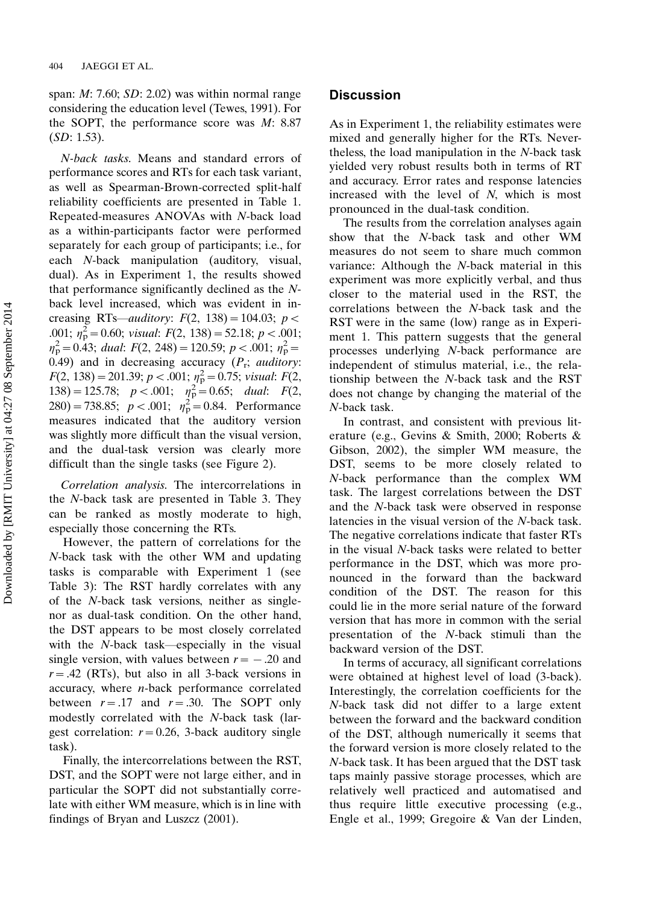span:  $M: 7.60; SD: 2.02$ ) was within normal range considering the education level (Tewes, 1991). For the SOPT, the performance score was  $M: 8.87$ (SD: 1.53).

N-back tasks. Means and standard errors of performance scores and RTs for each task variant, as well as Spearman-Brown-corrected split-half reliability coefficients are presented in Table 1. Repeated-measures ANOVAs with N-back load as a within-participants factor were performed separately for each group of participants; i.e., for each N-back manipulation (auditory, visual, dual). As in Experiment 1, the results showed that performance significantly declined as the Nback level increased, which was evident in increasing RTs—auditory:  $F(2, 138) = 104.03$ ;  $p <$ .001;  $\eta_p^2 = 0.60$ ; visual:  $F(2, 138) = 52.18$ ;  $p < .001$ ;  $n_{\rm p}^2 = 0.43$ ; dual:  $F(2, 248) = 120.59$ ;  $p < .001$ ;  $n_{\rm p}^2 =$ 0.49) and in decreasing accuracy  $(P_r;$  *auditory*:  $F(2, 138) = 201.39; p < .001; \eta_p^2 = 0.75; visual: F(2,$ 138) = 125.78;  $p < .001$ ;  $\eta_p^2 = 0.65$ ; dual:  $F(2,$ 280) = 738.85;  $p < .001$ ;  $n_p^2 = 0.84$ . Performance measures indicated that the auditory version was slightly more difficult than the visual version, and the dual-task version was clearly more difficult than the single tasks (see Figure 2).

Correlation analysis. The intercorrelations in the N-back task are presented in Table 3. They can be ranked as mostly moderate to high, especially those concerning the RTs.

However, the pattern of correlations for the N-back task with the other WM and updating tasks is comparable with Experiment 1 (see Table 3): The RST hardly correlates with any of the N-back task versions, neither as singlenor as dual-task condition. On the other hand, the DST appears to be most closely correlated with the  $N$ -back task—especially in the visual single version, with values between  $r = -.20$  and  $r = .42$  (RTs), but also in all 3-back versions in accuracy, where  $n$ -back performance correlated between  $r = .17$  and  $r = .30$ . The SOPT only modestly correlated with the N-back task (largest correlation:  $r = 0.26$ , 3-back auditory single task).

Finally, the intercorrelations between the RST, DST, and the SOPT were not large either, and in particular the SOPT did not substantially correlate with either WM measure, which is in line with findings of Bryan and Luszcz (2001).

### **Discussion**

As in Experiment 1, the reliability estimates were mixed and generally higher for the RTs. Nevertheless, the load manipulation in the N-back task yielded very robust results both in terms of RT and accuracy. Error rates and response latencies increased with the level of N, which is most pronounced in the dual-task condition.

The results from the correlation analyses again show that the N-back task and other WM measures do not seem to share much common variance: Although the N-back material in this experiment was more explicitly verbal, and thus closer to the material used in the RST, the correlations between the N-back task and the RST were in the same (low) range as in Experiment 1. This pattern suggests that the general processes underlying N-back performance are independent of stimulus material, i.e., the relationship between the N-back task and the RST does not change by changing the material of the N-back task.

In contrast, and consistent with previous literature (e.g., Gevins & Smith, 2000; Roberts & Gibson, 2002), the simpler WM measure, the DST, seems to be more closely related to N-back performance than the complex WM task. The largest correlations between the DST and the N-back task were observed in response latencies in the visual version of the N-back task. The negative correlations indicate that faster RTs in the visual N-back tasks were related to better performance in the DST, which was more pronounced in the forward than the backward condition of the DST. The reason for this could lie in the more serial nature of the forward version that has more in common with the serial presentation of the N-back stimuli than the backward version of the DST.

In terms of accuracy, all significant correlations were obtained at highest level of load (3-back). Interestingly, the correlation coefficients for the N-back task did not differ to a large extent between the forward and the backward condition of the DST, although numerically it seems that the forward version is more closely related to the N-back task. It has been argued that the DST task taps mainly passive storage processes, which are relatively well practiced and automatised and thus require little executive processing (e.g., Engle et al., 1999; Gregoire & Van der Linden,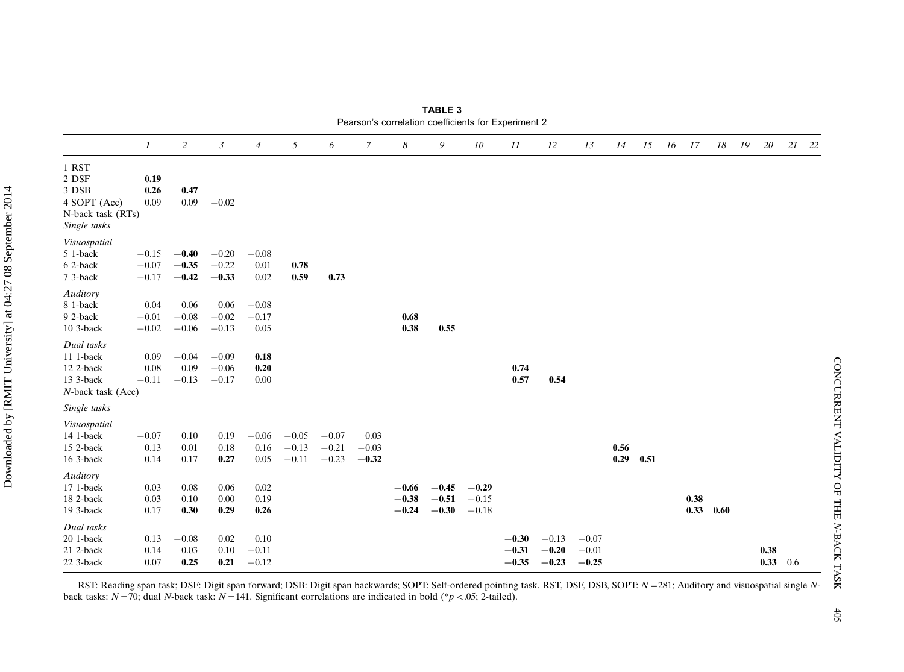|                                                                              | $\mathcal{I}$                 | $\overline{c}$                | $\boldsymbol{\beta}$          | $\overline{4}$             | 5                             | 6                             | $\mathcal{I}$              | 8                             | 9                             | 10                            | 11                            | 12                            | 13                            | 14           | 15   | 16 17 |           | 18 19 | 20               | 21 22 |
|------------------------------------------------------------------------------|-------------------------------|-------------------------------|-------------------------------|----------------------------|-------------------------------|-------------------------------|----------------------------|-------------------------------|-------------------------------|-------------------------------|-------------------------------|-------------------------------|-------------------------------|--------------|------|-------|-----------|-------|------------------|-------|
| 1 RST<br>2 DSF<br>3 DSB<br>4 SOPT (Acc)<br>N-back task (RTs)<br>Single tasks | 0.19<br>0.26<br>0.09          | 0.47<br>0.09                  | $-0.02$                       |                            |                               |                               |                            |                               |                               |                               |                               |                               |                               |              |      |       |           |       |                  |       |
| Visuospatial<br>5 1-back<br>6 2-back<br>7 3-back                             | $-0.15$<br>$-0.07$<br>$-0.17$ | $-0.40$<br>$-0.35$<br>$-0.42$ | $-0.20$<br>$-0.22$<br>$-0.33$ | $-0.08$<br>0.01<br>0.02    | 0.78<br>0.59                  | 0.73                          |                            |                               |                               |                               |                               |                               |                               |              |      |       |           |       |                  |       |
| Auditory<br>8 1-back<br>9 2-back<br>10 3-back                                | 0.04<br>$-0.01$<br>$-0.02$    | 0.06<br>$-0.08\,$<br>$-0.06$  | 0.06<br>$-0.02$<br>$-0.13$    | $-0.08$<br>$-0.17$<br>0.05 |                               |                               |                            | 0.68<br>0.38                  | 0.55                          |                               |                               |                               |                               |              |      |       |           |       |                  |       |
| Dual tasks<br>11 1-back<br>12 2-back<br>13 3-back<br>N-back task (Acc)       | 0.09<br>0.08<br>$-0.11$       | $-0.04$<br>0.09<br>$-0.13$    | $-0.09$<br>$-0.06$<br>$-0.17$ | 0.18<br>0.20<br>0.00       |                               |                               |                            |                               |                               |                               | 0.74<br>0.57                  | 0.54                          |                               |              |      |       |           |       |                  |       |
| Single tasks                                                                 |                               |                               |                               |                            |                               |                               |                            |                               |                               |                               |                               |                               |                               |              |      |       |           |       |                  |       |
| Visuospatial<br>14 1-back<br>15 2-back<br>16 3-back                          | $-0.07$<br>0.13<br>0.14       | 0.10<br>0.01<br>0.17          | 0.19<br>0.18<br>0.27          | $-0.06$<br>0.16<br>0.05    | $-0.05$<br>$-0.13$<br>$-0.11$ | $-0.07$<br>$-0.21$<br>$-0.23$ | 0.03<br>$-0.03$<br>$-0.32$ |                               |                               |                               |                               |                               |                               | 0.56<br>0.29 | 0.51 |       |           |       |                  |       |
| Auditory<br>17 1-back<br>18 2-back<br>19 3-back                              | 0.03<br>0.03<br>0.17          | 0.08<br>0.10<br>0.30          | 0.06<br>$0.00\,$<br>0.29      | 0.02<br>0.19<br>0.26       |                               |                               |                            | $-0.66$<br>$-0.38$<br>$-0.24$ | $-0.45$<br>$-0.51$<br>$-0.30$ | $-0.29$<br>$-0.15$<br>$-0.18$ |                               |                               |                               |              |      | 0.38  | 0.33 0.60 |       |                  |       |
| Dual tasks<br>20 1-back<br>21 2-back<br>22 3-back                            | 0.13<br>0.14<br>0.07          | $-0.08$<br>0.03<br>0.25       | 0.02<br>0.10<br>0.21          | 0.10<br>$-0.11$<br>$-0.12$ |                               |                               |                            |                               |                               |                               | $-0.30$<br>$-0.31$<br>$-0.35$ | $-0.13$<br>$-0.20$<br>$-0.23$ | $-0.07$<br>$-0.01$<br>$-0.25$ |              |      |       |           |       | 0.38<br>0.33 0.6 |       |

TABLE 3 Pearson's correlation coefficients for Experiment 2

CONCURRENT VALIDITY OF THE

CONCURRENT VALIDITY OF THE N-BACK TASK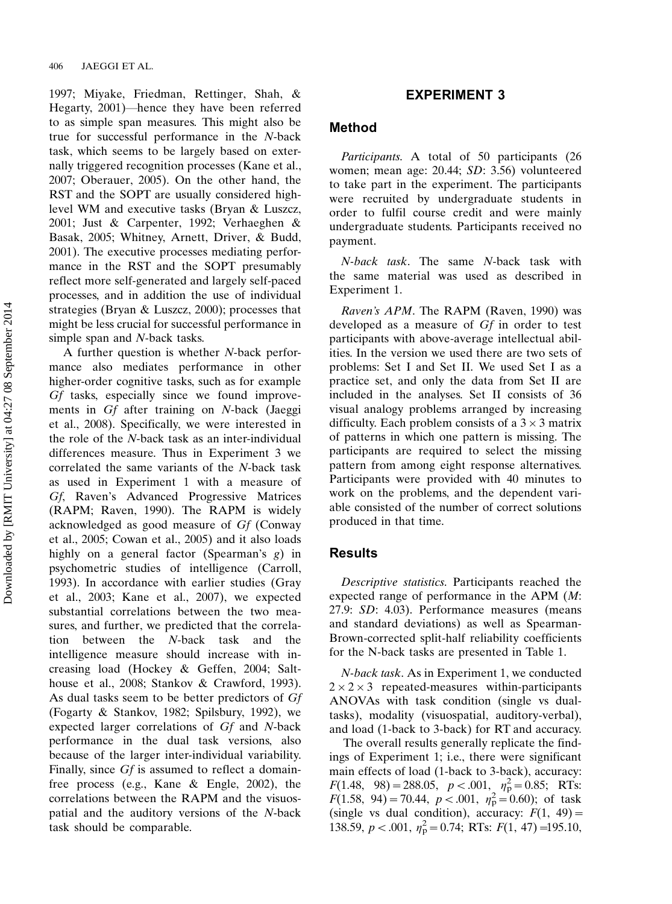1997; Miyake, Friedman, Rettinger, Shah, & Hegarty, 2001)—hence they have been referred to as simple span measures. This might also be true for successful performance in the N-back task, which seems to be largely based on externally triggered recognition processes (Kane et al., 2007; Oberauer, 2005). On the other hand, the RST and the SOPT are usually considered highlevel WM and executive tasks (Bryan & Luszcz, 2001; Just & Carpenter, 1992; Verhaeghen & Basak, 2005; Whitney, Arnett, Driver, & Budd, 2001). The executive processes mediating performance in the RST and the SOPT presumably reflect more self-generated and largely self-paced processes, and in addition the use of individual strategies (Bryan & Luszcz, 2000); processes that might be less crucial for successful performance in simple span and N-back tasks.

A further question is whether N-back performance also mediates performance in other higher-order cognitive tasks, such as for example Gf tasks, especially since we found improvements in Gf after training on N-back (Jaeggi et al., 2008). Specifically, we were interested in the role of the N-back task as an inter-individual differences measure. Thus in Experiment 3 we correlated the same variants of the N-back task as used in Experiment 1 with a measure of Gf, Raven's Advanced Progressive Matrices (RAPM; Raven, 1990). The RAPM is widely acknowledged as good measure of Gf (Conway et al., 2005; Cowan et al., 2005) and it also loads highly on a general factor (Spearman's g) in psychometric studies of intelligence (Carroll, 1993). In accordance with earlier studies (Gray et al., 2003; Kane et al., 2007), we expected substantial correlations between the two measures, and further, we predicted that the correlation between the N-back task and the intelligence measure should increase with increasing load (Hockey & Geffen, 2004; Salthouse et al., 2008; Stankov & Crawford, 1993). As dual tasks seem to be better predictors of Gf (Fogarty & Stankov, 1982; Spilsbury, 1992), we expected larger correlations of Gf and N-back performance in the dual task versions, also because of the larger inter-individual variability. Finally, since Gf is assumed to reflect a domainfree process (e.g., Kane & Engle, 2002), the correlations between the RAPM and the visuospatial and the auditory versions of the N-back task should be comparable.

## EXPERIMENT 3

### Method

Participants. A total of 50 participants (26 women; mean age: 20.44; SD: 3.56) volunteered to take part in the experiment. The participants were recruited by undergraduate students in order to fulfil course credit and were mainly undergraduate students. Participants received no payment.

N-back task. The same N-back task with the same material was used as described in Experiment 1.

Raven's APM. The RAPM (Raven, 1990) was developed as a measure of Gf in order to test participants with above-average intellectual abilities. In the version we used there are two sets of problems: Set I and Set II. We used Set I as a practice set, and only the data from Set II are included in the analyses. Set II consists of 36 visual analogy problems arranged by increasing difficulty. Each problem consists of a  $3 \times 3$  matrix of patterns in which one pattern is missing. The participants are required to select the missing pattern from among eight response alternatives. Participants were provided with 40 minutes to work on the problems, and the dependent variable consisted of the number of correct solutions produced in that time.

#### Results

Descriptive statistics. Participants reached the expected range of performance in the APM (M: 27.9: SD: 4.03). Performance measures (means and standard deviations) as well as Spearman-Brown-corrected split-half reliability coefficients for the N-back tasks are presented in Table 1.

N-back task. As in Experiment 1, we conducted  $2 \times 2 \times 3$  repeated-measures within-participants ANOVAs with task condition (single vs dualtasks), modality (visuospatial, auditory-verbal), and load (1-back to 3-back) for RT and accuracy.

The overall results generally replicate the findings of Experiment 1; i.e., there were significant main effects of load (1-back to 3-back), accuracy:  $F(1.48, 98) = 288.05, p < .001, n_P^2 = 0.85; RTs:$  $F(1.58, 94) = 70.44, p < .001, \eta_p^2 = 0.60$ ; of task (single vs dual condition), accuracy:  $F(1, 49) =$ 138.59,  $p < .001$ ,  $\eta_p^2 = 0.74$ ; RTs:  $F(1, 47) = 195.10$ ,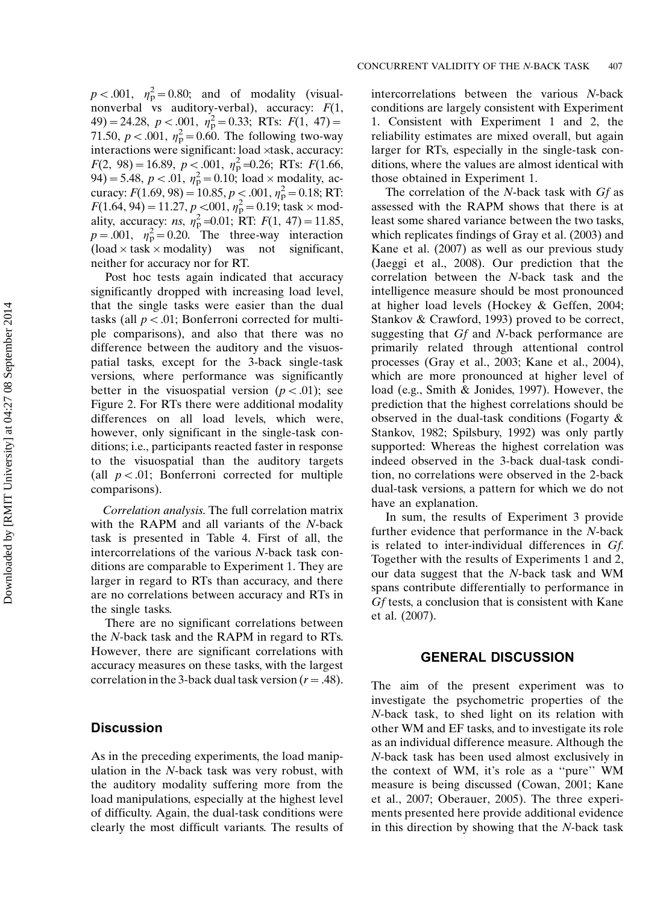$p < .001$ ,  $\eta_p^2 = 0.80$ ; and of modality (visualnonverbal vs auditory-verbal), accuracy:  $F(1,$  $(49) = 24.28, p < .001, \eta_p^2 = 0.33; RTs: F(1, 47) =$ 71.50,  $p < .001$ ,  $\eta_p^2 = 0.60$ . The following two-way interactions were significant: load xtask, accuracy:  $F(2, 98) = 16.89, p < 0.001, \eta_p^2 = 0.26; RTs: F(1.66,$ 94) = 5.48,  $p < 0.01$ ,  $\eta_p^2 = 0.10$ ; load  $\times$  modality, accuracy:  $F(1.69, 98) = 10.85, p < .001, \eta_p^2 = 0.18; RT$ .  $F(1.64, 94) = 11.27, p < 0.01, \eta_p^2 = 0.19$ ; task  $\times$  modality, accuracy: *ns*,  $\eta_p^2 = 0.01$ ; RT:  $F(1, 47) = 11.85$ ,  $p = .001$ ,  $\eta_p^2 = 0.20$ . The three-way interaction  $\text{(load} \times \text{task} \times \text{modality})$  was not significant, neither for accuracy nor for RT.

Post hoc tests again indicated that accuracy significantly dropped with increasing load level, that the single tasks were easier than the dual tasks (all  $p < .01$ ; Bonferroni corrected for multiple comparisons), and also that there was no difference between the auditory and the visuospatial tasks, except for the 3-back single-task versions, where performance was significantly better in the visuospatial version  $(p < .01)$ ; see Figure 2. For RTs there were additional modality differences on all load levels, which were, however, only significant in the single-task conditions; i.e., participants reacted faster in response to the visuospatial than the auditory targets (all  $p < .01$ ; Bonferroni corrected for multiple comparisons).

Correlation analysis. The full correlation matrix with the RAPM and all variants of the N-back task is presented in Table 4. First of all, the intercorrelations of the various N-back task conditions are comparable to Experiment 1. They are larger in regard to RTs than accuracy, and there are no correlations between accuracy and RTs in the single tasks.

There are no significant correlations between the N-back task and the RAPM in regard to RTs. However, there are significant correlations with accuracy measures on these tasks, with the largest correlation in the 3-back dual task version ( $r = .48$ ).

#### **Discussion**

As in the preceding experiments, the load manipulation in the N-back task was very robust, with the auditory modality suffering more from the load manipulations, especially at the highest level of difficulty. Again, the dual-task conditions were clearly the most difficult variants. The results of

intercorrelations between the various N-back conditions are largely consistent with Experiment 1. Consistent with Experiment 1 and 2, the reliability estimates are mixed overall, but again larger for RTs, especially in the single-task conditions, where the values are almost identical with those obtained in Experiment 1.

The correlation of the N-back task with Gf as assessed with the RAPM shows that there is at least some shared variance between the two tasks, which replicates findings of Gray et al. (2003) and Kane et al. (2007) as well as our previous study (Jaeggi et al., 2008). Our prediction that the correlation between the N-back task and the intelligence measure should be most pronounced at higher load levels (Hockey & Geffen, 2004; Stankov & Crawford, 1993) proved to be correct, suggesting that Gf and N-back performance are primarily related through attentional control processes (Gray et al., 2003; Kane et al., 2004), which are more pronounced at higher level of load (e.g., Smith & Jonides, 1997). However, the prediction that the highest correlations should be observed in the dual-task conditions (Fogarty & Stankov, 1982; Spilsbury, 1992) was only partly supported: Whereas the highest correlation was indeed observed in the 3-back dual-task condition, no correlations were observed in the 2-back dual-task versions, a pattern for which we do not have an explanation.

In sum, the results of Experiment 3 provide further evidence that performance in the N-back is related to inter-individual differences in Gf. Together with the results of Experiments 1 and 2, our data suggest that the N-back task and WM spans contribute differentially to performance in Gf tests, a conclusion that is consistent with Kane et al. (2007).

# GENERAL DISCUSSION

The aim of the present experiment was to investigate the psychometric properties of the N-back task, to shed light on its relation with other WM and EF tasks, and to investigate its role as an individual difference measure. Although the N-back task has been used almost exclusively in the context of WM, it's role as a ''pure'' WM measure is being discussed (Cowan, 2001; Kane et al., 2007; Oberauer, 2005). The three experiments presented here provide additional evidence in this direction by showing that the N-back task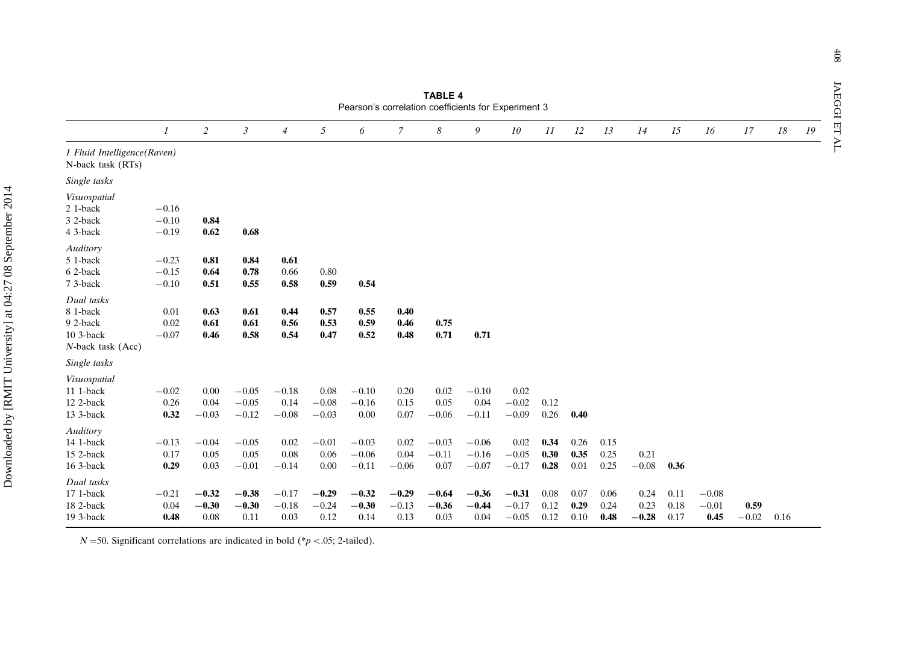|                                                                      |                               |                            |                               |                            |                            | Pearson's correlation coefficients for Experiment 3 |                            | IABLE 4                    |                               |                               |                      |                      |                      |                         |                      |                            |                 |      |    |
|----------------------------------------------------------------------|-------------------------------|----------------------------|-------------------------------|----------------------------|----------------------------|-----------------------------------------------------|----------------------------|----------------------------|-------------------------------|-------------------------------|----------------------|----------------------|----------------------|-------------------------|----------------------|----------------------------|-----------------|------|----|
|                                                                      | $\boldsymbol{\mathit{1}}$     | $\overline{c}$             | 3                             | $\overline{4}$             | 5                          | 6                                                   | 7                          | 8                          | 9                             | 10                            | 11                   | 12                   | 13                   | 14                      | 15                   | 16                         | 17              | 18   | 19 |
| 1 Fluid Intelligence(Raven)<br>N-back task (RTs)                     |                               |                            |                               |                            |                            |                                                     |                            |                            |                               |                               |                      |                      |                      |                         |                      |                            |                 |      |    |
| Single tasks                                                         |                               |                            |                               |                            |                            |                                                     |                            |                            |                               |                               |                      |                      |                      |                         |                      |                            |                 |      |    |
| Visuospatial<br>21-back<br>3 2-back<br>4 3-back                      | $-0.16$<br>$-0.10$<br>$-0.19$ | 0.84<br>0.62               | 0.68                          |                            |                            |                                                     |                            |                            |                               |                               |                      |                      |                      |                         |                      |                            |                 |      |    |
| Auditory<br>5 1-back<br>62-back<br>7 3-back                          | $-0.23$<br>$-0.15$<br>$-0.10$ | 0.81<br>0.64<br>0.51       | 0.84<br>0.78<br>0.55          | 0.61<br>0.66<br>0.58       | 0.80<br>0.59               | 0.54                                                |                            |                            |                               |                               |                      |                      |                      |                         |                      |                            |                 |      |    |
| Dual tasks<br>8 1-back<br>9 2-back<br>10 3-back<br>N-back task (Acc) | 0.01<br>0.02<br>$-0.07$       | 0.63<br>0.61<br>0.46       | 0.61<br>0.61<br>0.58          | 0.44<br>0.56<br>0.54       | 0.57<br>0.53<br>0.47       | 0.55<br>0.59<br>0.52                                | 0.40<br>0.46<br>0.48       | 0.75<br>0.71               | 0.71                          |                               |                      |                      |                      |                         |                      |                            |                 |      |    |
| Single tasks                                                         |                               |                            |                               |                            |                            |                                                     |                            |                            |                               |                               |                      |                      |                      |                         |                      |                            |                 |      |    |
| Visuospatial<br>11 1-back<br>12 2-back<br>13 3-back                  | $-0.02$<br>0.26<br>0.32       | 0.00<br>0.04<br>$-0.03$    | $-0.05$<br>$-0.05$<br>$-0.12$ | $-0.18$<br>0.14<br>$-0.08$ | 0.08<br>$-0.08$<br>$-0.03$ | $-0.10$<br>$-0.16$<br>0.00                          | 0.20<br>0.15<br>0.07       | 0.02<br>0.05<br>$-0.06$    | $-0.10$<br>0.04<br>$-0.11$    | 0.02<br>$-0.02$<br>$-0.09$    | 0.12<br>0.26         | 0.40                 |                      |                         |                      |                            |                 |      |    |
| Auditory<br>14 1-back<br>15 2-back<br>16 3-back                      | $-0.13$<br>0.17<br>0.29       | $-0.04$<br>0.05<br>0.03    | $-0.05$<br>0.05<br>$-0.01$    | 0.02<br>0.08<br>$-0.14$    | $-0.01$<br>0.06<br>0.00    | $-0.03$<br>$-0.06$<br>$-0.11$                       | 0.02<br>0.04<br>$-0.06$    | $-0.03$<br>$-0.11$<br>0.07 | $-0.06$<br>$-0.16$<br>$-0.07$ | 0.02<br>$-0.05$<br>$-0.17$    | 0.34<br>0.30<br>0.28 | 0.26<br>0.35<br>0.01 | 0.15<br>0.25<br>0.25 | 0.21<br>$\!-0.08$       | 0.36                 |                            |                 |      |    |
| Dual tasks<br>17 1-back<br>18 2-back<br>19 3-back                    | $-0.21$<br>0.04<br>0.48       | $-0.32$<br>$-0.30$<br>0.08 | $-0.38$<br>$-0.30$<br>0.11    | $-0.17$<br>$-0.18$<br>0.03 | $-0.29$<br>$-0.24$<br>0.12 | $-0.32$<br>$-0.30$<br>0.14                          | $-0.29$<br>$-0.13$<br>0.13 | $-0.64$<br>$-0.36$<br>0.03 | $-0.36$<br>$-0.44$<br>0.04    | $-0.31$<br>$-0.17$<br>$-0.05$ | 0.08<br>0.12<br>0.12 | 0.07<br>0.29<br>0.10 | 0.06<br>0.24<br>0.48 | 0.24<br>0.23<br>$-0.28$ | 0.11<br>0.18<br>0.17 | $-0.08$<br>$-0.01$<br>0.45 | 0.59<br>$-0.02$ | 0.16 |    |

 $N = 50$ . Significant correlations are indicated in bold (\*p < 05; 2-tailed).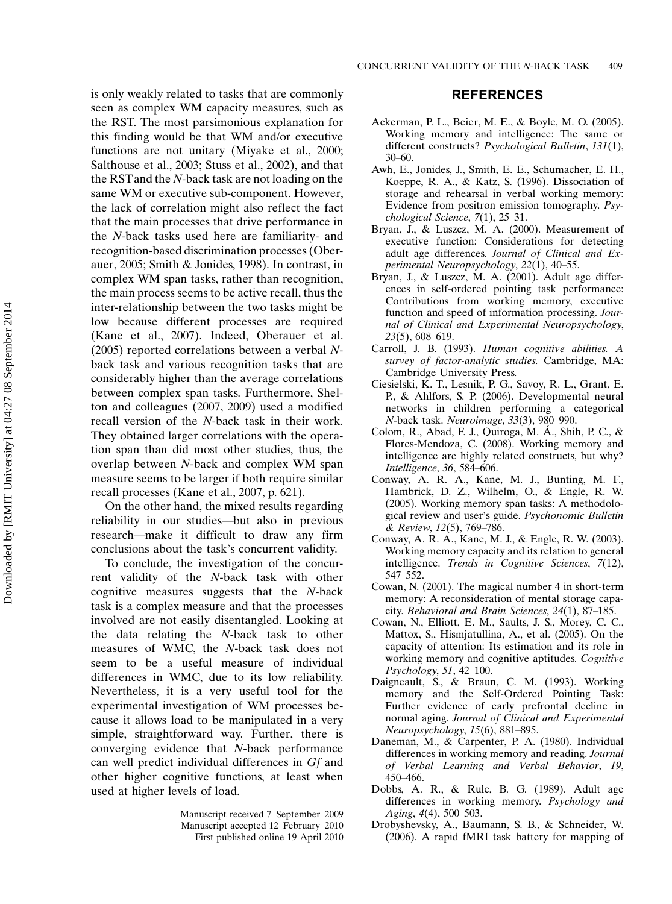is only weakly related to tasks that are commonly seen as complex WM capacity measures, such as the RST. The most parsimonious explanation for this finding would be that WM and/or executive functions are not unitary (Miyake et al., 2000; Salthouse et al., 2003; Stuss et al., 2002), and that the RSTand the N-back task are not loading on the same WM or executive sub-component. However, the lack of correlation might also reflect the fact that the main processes that drive performance in the N-back tasks used here are familiarity- and recognition-based discrimination processes (Oberauer, 2005; Smith & Jonides, 1998). In contrast, in complex WM span tasks, rather than recognition, the main process seems to be active recall, thus the inter-relationship between the two tasks might be low because different processes are required (Kane et al., 2007). Indeed, Oberauer et al. (2005) reported correlations between a verbal Nback task and various recognition tasks that are considerably higher than the average correlations between complex span tasks. Furthermore, Shelton and colleagues (2007, 2009) used a modified recall version of the N-back task in their work. They obtained larger correlations with the operation span than did most other studies, thus, the overlap between N-back and complex WM span measure seems to be larger if both require similar recall processes (Kane et al., 2007, p. 621).

On the other hand, the mixed results regarding reliability in our studies—but also in previous research—make it difficult to draw any firm conclusions about the task's concurrent validity.

To conclude, the investigation of the concurrent validity of the N-back task with other cognitive measures suggests that the N-back task is a complex measure and that the processes involved are not easily disentangled. Looking at the data relating the N-back task to other measures of WMC, the N-back task does not seem to be a useful measure of individual differences in WMC, due to its low reliability. Nevertheless, it is a very useful tool for the experimental investigation of WM processes because it allows load to be manipulated in a very simple, straightforward way. Further, there is converging evidence that N-back performance can well predict individual differences in Gf and other higher cognitive functions, at least when used at higher levels of load.

> Manuscript received 7 September 2009 Manuscript accepted 12 February 2010 First published online 19 April 2010

#### REFERENCES

- Ackerman, P. L., Beier, M. E., & Boyle, M. O. (2005). Working memory and intelligence: The same or different constructs? Psychological Bulletin, 131(1),  $30 - 60.$
- Awh, E., Jonides, J., Smith, E. E., Schumacher, E. H., Koeppe, R. A., & Katz, S. (1996). Dissociation of storage and rehearsal in verbal working memory: Evidence from positron emission tomography. Psy $chological Science, 7(1), 25-31.$
- Bryan, J., & Luszcz, M. A. (2000). Measurement of executive function: Considerations for detecting adult age differences. Journal of Clinical and Experimental Neuropsychology, 22(1), 40-55.
- Bryan, J., & Luszcz, M. A. (2001). Adult age differences in self-ordered pointing task performance: Contributions from working memory, executive function and speed of information processing. Journal of Clinical and Experimental Neuropsychology,  $23(5)$ , 608-619.
- Carroll, J. B. (1993). Human cognitive abilities. A survey of factor-analytic studies. Cambridge, MA: Cambridge University Press.
- Ciesielski, K. T., Lesnik, P. G., Savoy, R. L., Grant, E. P., & Ahlfors, S. P. (2006). Developmental neural networks in children performing a categorical N-back task. Neuroimage, 33(3), 980–990.
- Colom, R., Abad, F. J., Quiroga, M. A., Shih, P. C., & Flores-Mendoza, C. (2008). Working memory and intelligence are highly related constructs, but why? Intelligence, 36, 584-606.
- Conway, A. R. A., Kane, M. J., Bunting, M. F., Hambrick, D. Z., Wilhelm, O., & Engle, R. W. (2005). Working memory span tasks: A methodological review and user's guide. Psychonomic Bulletin & Review, 12(5), 769-786.
- Conway, A. R. A., Kane, M. J., & Engle, R. W. (2003). Working memory capacity and its relation to general intelligence. Trends in Cognitive Sciences, 7(12), 547-552.
- Cowan, N. (2001). The magical number 4 in short-term memory: A reconsideration of mental storage capacity. Behavioral and Brain Sciences,  $24(1)$ , 87-185.
- Cowan, N., Elliott, E. M., Saults, J. S., Morey, C. C., Mattox, S., Hismjatullina, A., et al. (2005). On the capacity of attention: Its estimation and its role in working memory and cognitive aptitudes. Cognitive Psychology, 51, 42-100.
- Daigneault, S., & Braun, C. M. (1993). Working memory and the Self-Ordered Pointing Task: Further evidence of early prefrontal decline in normal aging. Journal of Clinical and Experimental Neuropsychology, 15(6), 881-895.
- Daneman, M., & Carpenter, P. A. (1980). Individual differences in working memory and reading. Journal of Verbal Learning and Verbal Behavior, 19, 450466.
- Dobbs, A. R., & Rule, B. G. (1989). Adult age differences in working memory. Psychology and Aging,  $4(4)$ , 500-503.
- Drobyshevsky, A., Baumann, S. B., & Schneider, W. (2006). A rapid fMRI task battery for mapping of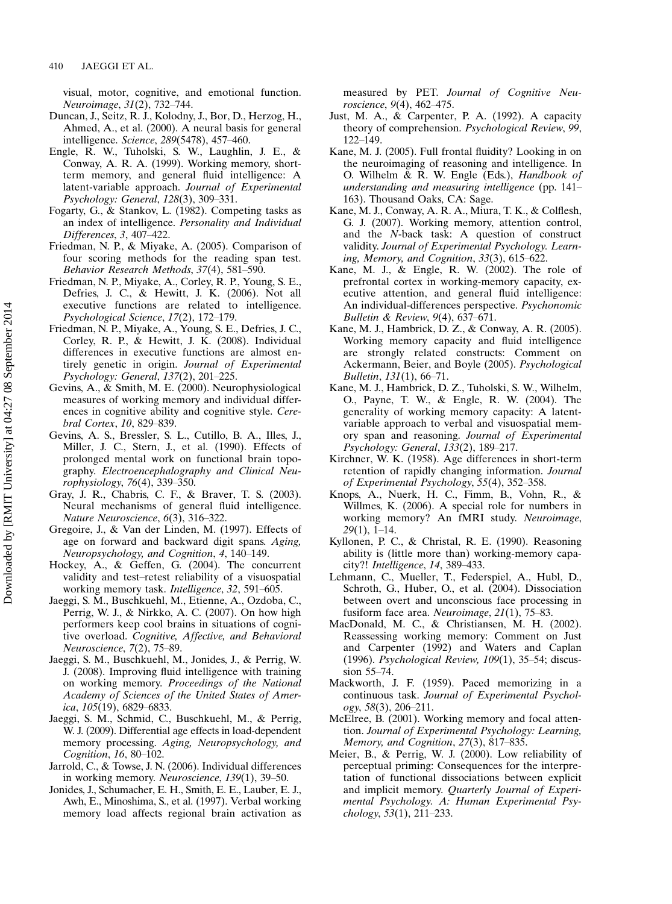visual, motor, cognitive, and emotional function. Neuroimage, 31(2), 732-744.

- Duncan, J., Seitz, R. J., Kolodny, J., Bor, D., Herzog, H., Ahmed, A., et al. (2000). A neural basis for general intelligence. Science, 289(5478), 457–460.
- Engle, R. W., Tuholski, S. W., Laughlin, J. E., & Conway, A. R. A. (1999). Working memory, shortterm memory, and general fluid intelligence: A latent-variable approach. Journal of Experimental Psychology: General, 128(3), 309-331.
- Fogarty, G., & Stankov, L. (1982). Competing tasks as an index of intelligence. Personality and Individual  $Differences, 3, 407-422.$
- Friedman, N. P., & Miyake, A. (2005). Comparison of four scoring methods for the reading span test. Behavior Research Methods, 37(4), 581–590.
- Friedman, N. P., Miyake, A., Corley, R. P., Young, S. E., Defries, J. C., & Hewitt, J. K. (2006). Not all executive functions are related to intelligence. Psychological Science, 17(2), 172-179.
- Friedman, N. P., Miyake, A., Young, S. E., Defries, J. C., Corley, R. P., & Hewitt, J. K. (2008). Individual differences in executive functions are almost entirely genetic in origin. Journal of Experimental Psychology: General, 137(2), 201-225.
- Gevins, A., & Smith, M. E. (2000). Neurophysiological measures of working memory and individual differences in cognitive ability and cognitive style. Cerebral Cortex, 10, 829–839.
- Gevins, A. S., Bressler, S. L., Cutillo, B. A., Illes, J., Miller, J. C., Stern, J., et al. (1990). Effects of prolonged mental work on functional brain topography. Electroencephalography and Clinical Neurophysiology, 76(4), 339-350.
- Gray, J. R., Chabris, C. F., & Braver, T. S. (2003). Neural mechanisms of general fluid intelligence. Nature Neuroscience, 6(3), 316-322.
- Gregoire, J., & Van der Linden, M. (1997). Effects of age on forward and backward digit spans. Aging, Neuropsychology, and Cognition, 4, 140–149.
- Hockey, A., & Geffen, G. (2004). The concurrent validity and test-retest reliability of a visuospatial working memory task. *Intelligence*, 32, 591–605.
- Jaeggi, S. M., Buschkuehl, M., Etienne, A., Ozdoba, C., Perrig, W. J., & Nirkko, A. C. (2007). On how high performers keep cool brains in situations of cognitive overload. Cognitive, Affective, and Behavioral Neuroscience, 7(2), 75-89.
- Jaeggi, S. M., Buschkuehl, M., Jonides, J., & Perrig, W. J. (2008). Improving fluid intelligence with training on working memory. Proceedings of the National Academy of Sciences of the United States of America,  $105(19)$ , 6829–6833.
- Jaeggi, S. M., Schmid, C., Buschkuehl, M., & Perrig, W. J. (2009). Differential age effects in load-dependent memory processing. Aging, Neuropsychology, and Cognition, 16, 80-102.
- Jarrold, C., & Towse, J. N. (2006). Individual differences in working memory. Neuroscience, 139(1), 39-50.
- Jonides, J., Schumacher, E. H., Smith, E. E., Lauber, E. J., Awh, E., Minoshima, S., et al. (1997). Verbal working memory load affects regional brain activation as

measured by PET. Journal of Cognitive Neuroscience, 9(4), 462-475.

- Just, M. A., & Carpenter, P. A. (1992). A capacity theory of comprehension. Psychological Review, 99, 122-149.
- Kane, M. J. (2005). Full frontal fluidity? Looking in on the neuroimaging of reasoning and intelligence. In O. Wilhelm & R. W. Engle (Eds.), Handbook of understanding and measuring intelligence (pp. 141 163). Thousand Oaks, CA: Sage.
- Kane, M. J., Conway, A. R. A., Miura, T. K., & Colflesh, G. J. (2007). Working memory, attention control, and the N-back task: A question of construct validity. Journal of Experimental Psychology. Learning, Memory, and Cognition,  $33(3)$ ,  $615-622$ .
- Kane, M. J., & Engle, R. W. (2002). The role of prefrontal cortex in working-memory capacity, executive attention, and general fluid intelligence: An individual-differences perspective. Psychonomic Bulletin & Review,  $9(4)$ , 637-671.
- Kane, M. J., Hambrick, D. Z., & Conway, A. R. (2005). Working memory capacity and fluid intelligence are strongly related constructs: Comment on Ackermann, Beier, and Boyle (2005). Psychological *Bulletin*,  $131(1)$ ,  $66-71$ .
- Kane, M. J., Hambrick, D. Z., Tuholski, S. W., Wilhelm, O., Payne, T. W., & Engle, R. W. (2004). The generality of working memory capacity: A latentvariable approach to verbal and visuospatial memory span and reasoning. Journal of Experimental Psychology: General, 133(2), 189-217.
- Kirchner, W. K. (1958). Age differences in short-term retention of rapidly changing information. Journal of Experimental Psychology, 55(4), 352-358.
- Knops, A., Nuerk, H. C., Fimm, B., Vohn, R., & Willmes, K. (2006). A special role for numbers in working memory? An fMRI study. Neuroimage,  $29(1)$ , 1–14.
- Kyllonen, P. C., & Christal, R. E. (1990). Reasoning ability is (little more than) working-memory capacity?! Intelligence, 14, 389-433.
- Lehmann, C., Mueller, T., Federspiel, A., Hubl, D., Schroth, G., Huber, O., et al. (2004). Dissociation between overt and unconscious face processing in fusiform face area. Neuroimage,  $21(1)$ , 75-83.
- MacDonald, M. C., & Christiansen, M. H. (2002). Reassessing working memory: Comment on Just and Carpenter (1992) and Waters and Caplan (1996). Psychological Review,  $109(1)$ , 35-54; discussion 55-74.
- Mackworth, J. F. (1959). Paced memorizing in a continuous task. Journal of Experimental Psychol- $\log y$ , 58(3), 206–211.
- McElree, B. (2001). Working memory and focal attention. Journal of Experimental Psychology: Learning, Memory, and Cognition,  $27(3)$ ,  $817-835$ .
- Meier, B., & Perrig, W. J. (2000). Low reliability of perceptual priming: Consequences for the interpretation of functional dissociations between explicit and implicit memory. Quarterly Journal of Experimental Psychology. A: Human Experimental Psy $chology, 53(1), 211–233.$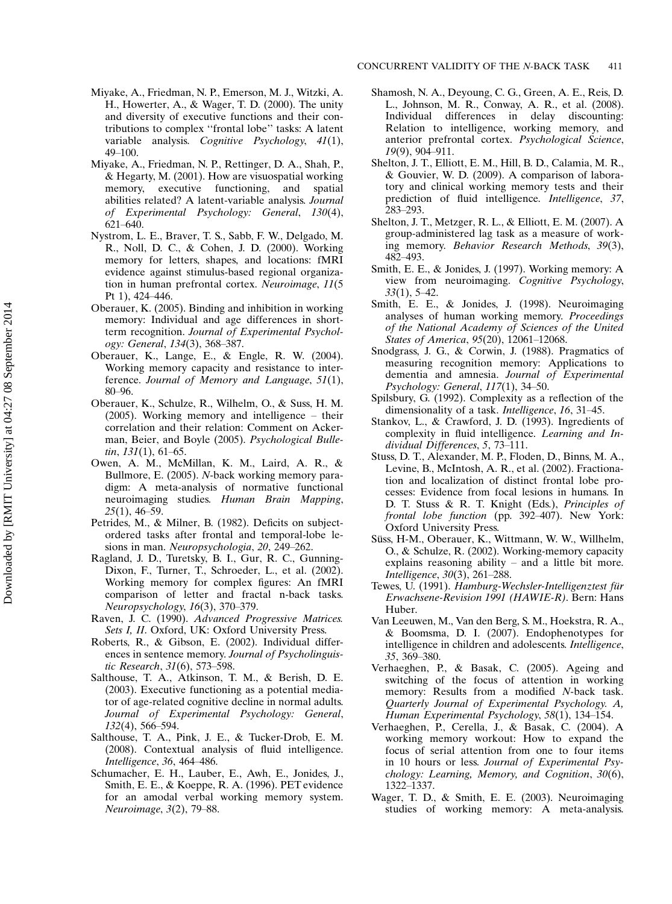- Miyake, A., Friedman, N. P., Emerson, M. J., Witzki, A. H., Howerter, A., & Wager, T. D. (2000). The unity and diversity of executive functions and their contributions to complex ''frontal lobe'' tasks: A latent variable analysis. Cognitive Psychology, 41(1), 49-100.
- Miyake, A., Friedman, N. P., Rettinger, D. A., Shah, P., & Hegarty, M. (2001). How are visuospatial working memory, executive functioning, and spatial abilities related? A latent-variable analysis. Journal of Experimental Psychology: General, 130(4), 621-640.
- Nystrom, L. E., Braver, T. S., Sabb, F. W., Delgado, M. R., Noll, D. C., & Cohen, J. D. (2000). Working memory for letters, shapes, and locations: fMRI evidence against stimulus-based regional organization in human prefrontal cortex. Neuroimage, 11(5 Pt 1), 424-446.
- Oberauer, K. (2005). Binding and inhibition in working memory: Individual and age differences in shortterm recognition. Journal of Experimental Psychology: General, 134(3), 368-387.
- Oberauer, K., Lange, E., & Engle, R. W. (2004). Working memory capacity and resistance to interference. Journal of Memory and Language, 51(1), 80-96.
- Oberauer, K., Schulze, R., Wilhelm, O., & Suss, H. M.  $(2005)$ . Working memory and intelligence – their correlation and their relation: Comment on Ackerman, Beier, and Boyle (2005). Psychological Bulle- $\lim$ , 131(1), 61–65.
- Owen, A. M., McMillan, K. M., Laird, A. R., & Bullmore, E. (2005). N-back working memory paradigm: A meta-analysis of normative functional neuroimaging studies. Human Brain Mapping,  $25(1)$ , 46-59.
- Petrides, M., & Milner, B. (1982). Deficits on subjectordered tasks after frontal and temporal-lobe lesions in man. Neuropsychologia, 20, 249-262.
- Ragland, J. D., Turetsky, B. I., Gur, R. C., Gunning-Dixon, F., Turner, T., Schroeder, L., et al. (2002). Working memory for complex figures: An fMRI comparison of letter and fractal n-back tasks. Neuropsychology, 16(3), 370–379.
- Raven, J. C. (1990). Advanced Progressive Matrices. Sets I, II. Oxford, UK: Oxford University Press.
- Roberts, R., & Gibson, E. (2002). Individual differences in sentence memory. Journal of Psycholinguistic Research, 31(6), 573–598.
- Salthouse, T. A., Atkinson, T. M., & Berish, D. E. (2003). Executive functioning as a potential mediator of age-related cognitive decline in normal adults. Journal of Experimental Psychology: General, 132(4), 566-594.
- Salthouse, T. A., Pink, J. E., & Tucker-Drob, E. M. (2008). Contextual analysis of fluid intelligence. Intelligence, 36, 464-486.
- Schumacher, E. H., Lauber, E., Awh, E., Jonides, J., Smith, E. E., & Koeppe, R. A. (1996). PET evidence for an amodal verbal working memory system. Neuroimage, 3(2), 79-88.
- Shamosh, N. A., Deyoung, C. G., Green, A. E., Reis, D. L., Johnson, M. R., Conway, A. R., et al. (2008). Individual differences in delay discounting: Relation to intelligence, working memory, and anterior prefrontal cortex. Psychological Science, 19(9), 904-911.
- Shelton, J. T., Elliott, E. M., Hill, B. D., Calamia, M. R., & Gouvier, W. D. (2009). A comparison of laboratory and clinical working memory tests and their prediction of fluid intelligence. Intelligence, 37, 283-293.
- Shelton, J. T., Metzger, R. L., & Elliott, E. M. (2007). A group-administered lag task as a measure of working memory. Behavior Research Methods, 39(3), 482493.
- Smith, E. E., & Jonides, J. (1997). Working memory: A view from neuroimaging. Cognitive Psychology,  $33(1)$ , 5–42.
- Smith, E. E., & Jonides, J. (1998). Neuroimaging analyses of human working memory. Proceedings of the National Academy of Sciences of the United States of America,  $95(20)$ , 12061–12068.
- Snodgrass, J. G., & Corwin, J. (1988). Pragmatics of measuring recognition memory: Applications to dementia and amnesia. Journal of Experimental Psychology: General, 117(1), 34–50.
- Spilsbury, G. (1992). Complexity as a reflection of the dimensionality of a task. *Intelligence*, 16, 31-45.
- Stankov, L., & Crawford, J. D. (1993). Ingredients of complexity in fluid intelligence. Learning and Individual Differences,  $5, 73-111$ .
- Stuss, D. T., Alexander, M. P., Floden, D., Binns, M. A., Levine, B., McIntosh, A. R., et al. (2002). Fractionation and localization of distinct frontal lobe processes: Evidence from focal lesions in humans. In D. T. Stuss & R. T. Knight (Eds.), Principles of frontal lobe function (pp. 392-407). New York: Oxford University Press.
- Süss, H-M., Oberauer, K., Wittmann, W. W., Willhelm, O., & Schulze, R. (2002). Working-memory capacity explains reasoning ability  $-$  and a little bit more. *Intelligence*,  $30(3)$ ,  $261-288$ .
- Tewes, U. (1991). *Hamburg-Wechsler-Intelligenztest für* Erwachsene-Revision 1991 (HAWIE-R). Bern: Hans Huber.
- Van Leeuwen, M., Van den Berg, S. M., Hoekstra, R. A., & Boomsma, D. I. (2007). Endophenotypes for intelligence in children and adolescents. Intelligence, 35, 369-380.
- Verhaeghen, P., & Basak, C. (2005). Ageing and switching of the focus of attention in working memory: Results from a modified N-back task. Quarterly Journal of Experimental Psychology. A, Human Experimental Psychology,  $58(1)$ , 134–154.
- Verhaeghen, P., Cerella, J., & Basak, C. (2004). A working memory workout: How to expand the focus of serial attention from one to four items in 10 hours or less. Journal of Experimental Psychology: Learning, Memory, and Cognition, 30(6), 1322-1337.
- Wager, T. D., & Smith, E. E. (2003). Neuroimaging studies of working memory: A meta-analysis.